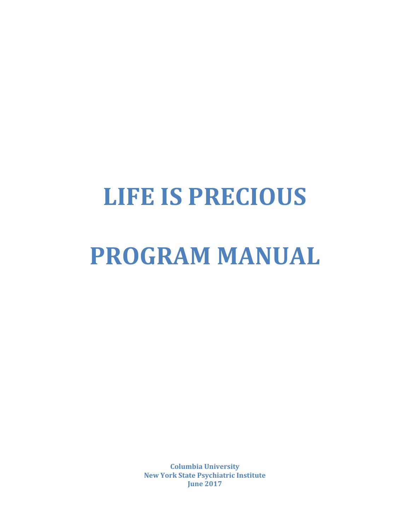# **LIFE IS PRECIOUS**

# **PROGRAM MANUAL**

**Columbia University New York State Psychiatric Institute June 2017**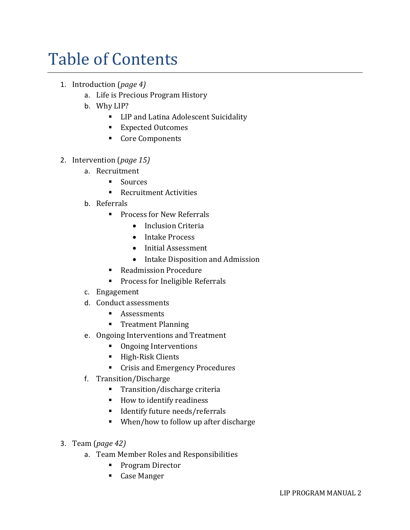# Table of Contents

- 1. Introduction (*page 4)*
	- a. Life is Precious Program History
	- b. Why LIP?
		- LIP and Latina Adolescent Suicidality
		- Expected Outcomes
		- Core Components
- 2. Intervention (*page 15)*
	- a. Recruitment
		- Sources
		- Recruitment Activities
	- b. Referrals
		- Process for New Referrals
			- Inclusion Criteria
			- Intake Process
			- Initial Assessment
			- Intake Disposition and Admission
		- Readmission Procedure
		- Process for Ineligible Referrals
	- c. Engagement
	- d. Conduct assessments
		- Assessments
		- Treatment Planning
	- e. Ongoing Interventions and Treatment
		- Ongoing Interventions
		- High-Risk Clients
		- Crisis and Emergency Procedures
	- f. Transition/Discharge
		- Transition/discharge criteria
		- How to identify readiness
		- **■** Identify future needs/referrals
		- When/how to follow up after discharge
- 3. Team (*page 42)*
	- a. Team Member Roles and Responsibilities
		- Program Director
		- Case Manger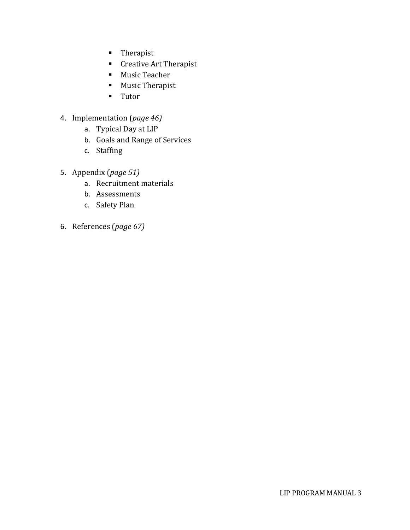- Therapist
- Creative Art Therapist
- Music Teacher
- Music Therapist
- Tutor
- 4. Implementation (*page 46)*
	- a. Typical Day at LIP
	- b. Goals and Range of Services
	- c. Staffing
- 5. Appendix (*page 51)*
	- a. Recruitment materials
	- b. Assessments
	- c. Safety Plan
- 6. References (*page 67)*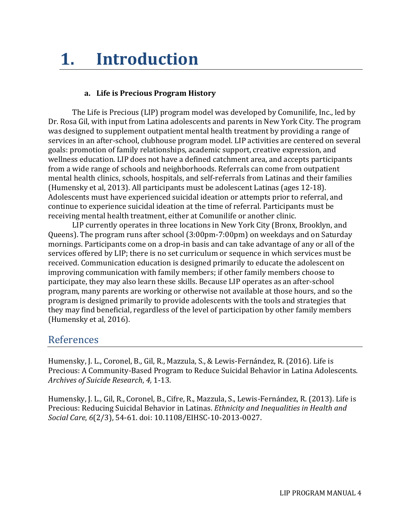# **1. Introduction**

#### **a. Life is Precious Program History**

The Life is Precious (LIP) program model was developed by Comunilife, Inc., led by Dr. Rosa Gil, with input from Latina adolescents and parents in New York City. The program was designed to supplement outpatient mental health treatment by providing a range of services in an after-school, clubhouse program model. LIP activities are centered on several goals: promotion of family relationships, academic support, creative expression, and wellness education. LIP does not have a defined catchment area, and accepts participants from a wide range of schools and neighborhoods. Referrals can come from outpatient mental health clinics, schools, hospitals, and self-referrals from Latinas and their families (Humensky et al, 2013). All participants must be adolescent Latinas (ages 12-18). Adolescents must have experienced suicidal ideation or attempts prior to referral, and continue to experience suicidal ideation at the time of referral. Participants must be receiving mental health treatment, either at Comunilife or another clinic.

LIP currently operates in three locations in New York City (Bronx, Brooklyn, and Queens). The program runs after school (3:00pm-7:00pm) on weekdays and on Saturday mornings. Participants come on a drop-in basis and can take advantage of any or all of the services offered by LIP; there is no set curriculum or sequence in which services must be received. Communication education is designed primarily to educate the adolescent on improving communication with family members; if other family members choose to participate, they may also learn these skills. Because LIP operates as an after-school program, many parents are working or otherwise not available at those hours, and so the program is designed primarily to provide adolescents with the tools and strategies that they may find beneficial, regardless of the level of participation by other family members (Humensky et al, 2016).

## References

Humensky, J. L., Coronel, B., Gil, R., Mazzula, S., & Lewis-Fernández, R. (2016). Life is Precious: A Community-Based Program to Reduce Suicidal Behavior in Latina Adolescents. *Archives of Suicide Research*, *4,* 1-13.

Humensky, J. L., Gil, R., Coronel, B., Cifre, R., Mazzula, S., Lewis-Fernández, R. (2013). Life is Precious: Reducing Suicidal Behavior in Latinas. *Ethnicity and Inequalities in Health and Social Care*, *6*(2/3), 54-61. doi: 10.1108/EIHSC-10-2013-0027.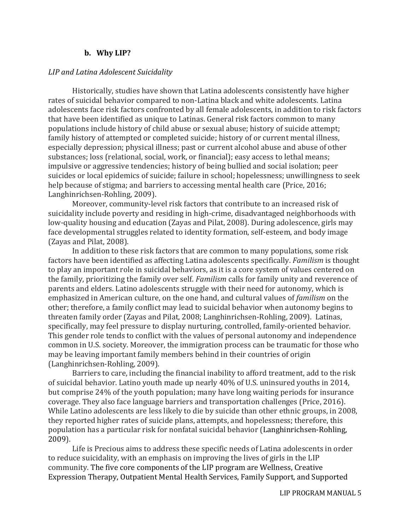#### **b. Why LIP?**

#### *LIP and Latina Adolescent Suicidality*

Historically, studies have shown that Latina adolescents consistently have higher rates of suicidal behavior compared to non-Latina black and white adolescents*.* Latina adolescents face risk factors confronted by all female adolescents, in addition to risk factors that have been identified as unique to Latinas. General risk factors common to many populations include history of child abuse or sexual abuse; history of suicide attempt; family history of attempted or completed suicide; history of or current mental illness, especially depression; physical illness; past or current alcohol abuse and abuse of other substances; loss (relational, social, work, or financial); easy access to lethal means; impulsive or aggressive tendencies; history of being bullied and social isolation; peer suicides or local epidemics of suicide; failure in school; hopelessness; unwillingness to seek help because of stigma; and barriers to accessing mental health care (Price, 2016; Langhinrichsen-Rohling, 2009).

Moreover, community-level risk factors that contribute to an increased risk of suicidality include poverty and residing in high-crime, disadvantaged neighborhoods with low-quality housing and education (Zayas and Pilat, 2008). During adolescence, girls may face developmental struggles related to identity formation, self-esteem, and body image (Zayas and Pilat, 2008).

In addition to these risk factors that are common to many populations, some risk factors have been identified as affecting Latina adolescents specifically. *Familism* is thought to play an important role in suicidal behaviors, as it is a core system of values centered on the family, prioritizing the family over self. *Familism* calls for family unity and reverence of parents and elders. Latino adolescents struggle with their need for autonomy, which is emphasized in American culture, on the one hand, and cultural values of *familism* on the other; therefore, a family conflict may lead to suicidal behavior when autonomy begins to threaten family order (Zayas and Pilat, 2008; Langhinrichsen-Rohling, 2009). Latinas, specifically, may feel pressure to display nurturing, controlled, family-oriented behavior. This gender role tends to conflict with the values of personal autonomy and independence common in U.S. society. Moreover, the immigration process can be traumatic for those who may be leaving important family members behind in their countries of origin (Langhinrichsen-Rohling, 2009).

Barriers to care, including the financial inability to afford treatment, add to the risk of suicidal behavior. Latino youth made up nearly 40% of U.S. uninsured youths in 2014, but comprise 24% of the youth population; many have long waiting periods for insurance coverage. They also face language barriers and transportation challenges (Price, 2016). While Latino adolescents are less likely to die by suicide than other ethnic groups, in 2008, they reported higher rates of suicide plans, attempts, and hopelessness; therefore, this population has a particular risk for nonfatal suicidal behavior (Langhinrichsen-Rohling, 2009).

Life is Precious aims to address these specific needs of Latina adolescents in order to reduce suicidality, with an emphasis on improving the lives of girls in the LIP community. The five core components of the LIP program are Wellness, Creative Expression Therapy, Outpatient Mental Health Services, Family Support, and Supported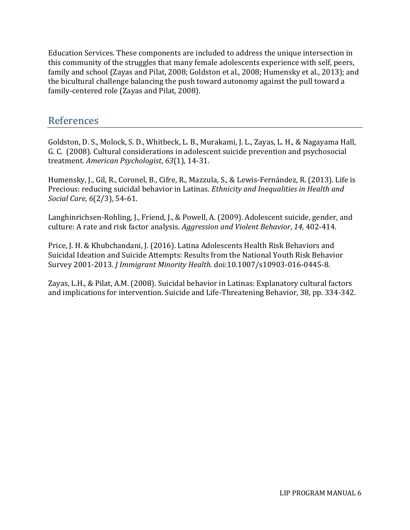Education Services. These components are included to address the unique intersection in this community of the struggles that many female adolescents experience with self, peers, family and school (Zayas and Pilat, 2008; Goldston et al., 2008; Humensky et al., 2013); and the bicultural challenge balancing the push toward autonomy against the pull toward a family-centered role (Zayas and Pilat, 2008).

# References

Goldston, D. S., Molock, S. D., Whitbeck, L. B., Murakami, J. L., Zayas, L. H., & Nagayama Hall, G. C. (2008). Cultural considerations in adolescent suicide prevention and psychosocial treatment. *American Psychologist*, *63*(1), 14-31.

Humensky, J., Gil, R., Coronel, B., Cifre, R., Mazzula, S., & Lewis-Fernández, R. (2013). Life is Precious: reducing suicidal behavior in Latinas. *Ethnicity and Inequalities in Health and Social Care*, *6*(2/3), 54-61.

Langhinrichsen-Rohling, J., Friend, J., & Powell, A. (2009). Adolescent suicide, gender, and culture: A rate and risk factor analysis. *Aggression and Violent Behavior*, *14,* 402-414.

Price, J. H. & Khubchandani, J. (2016). Latina Adolescents Health Risk Behaviors and Suicidal Ideation and Suicide Attempts: Results from the National Youth Risk Behavior Survey 2001-2013. *J Immigrant Minority Health.* doi:10.1007/s10903-016-0445-8.

Zayas, L.H., & Pilat, A.M. (2008). Suicidal behavior in Latinas: Explanatory cultural factors and implications for intervention. Suicide and Life-Threatening Behavior, 38, pp. 334-342.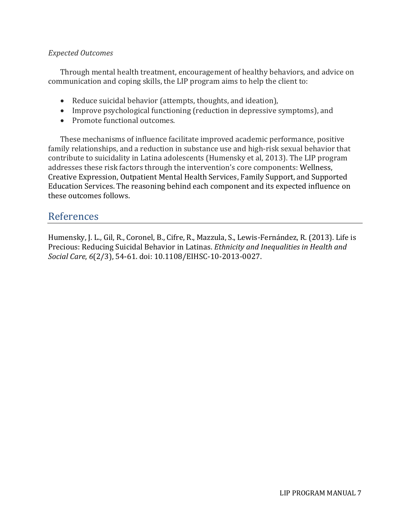#### *Expected Outcomes*

Through mental health treatment, encouragement of healthy behaviors, and advice on communication and coping skills, the LIP program aims to help the client to:

- Reduce suicidal behavior (attempts, thoughts, and ideation),
- Improve psychological functioning (reduction in depressive symptoms), and
- Promote functional outcomes.

These mechanisms of influence facilitate improved academic performance, positive family relationships, and a reduction in substance use and high-risk sexual behavior that contribute to suicidality in Latina adolescents (Humensky et al, 2013). The LIP program addresses these risk factors through the intervention's core components: Wellness, Creative Expression, Outpatient Mental Health Services, Family Support, and Supported Education Services. The reasoning behind each component and its expected influence on these outcomes follows.

# References

Humensky, J. L., Gil, R., Coronel, B., Cifre, R., Mazzula, S., Lewis-Fernández, R. (2013). Life is Precious: Reducing Suicidal Behavior in Latinas. *Ethnicity and Inequalities in Health and Social Care*, *6*(2/3), 54-61. doi: 10.1108/EIHSC-10-2013-0027.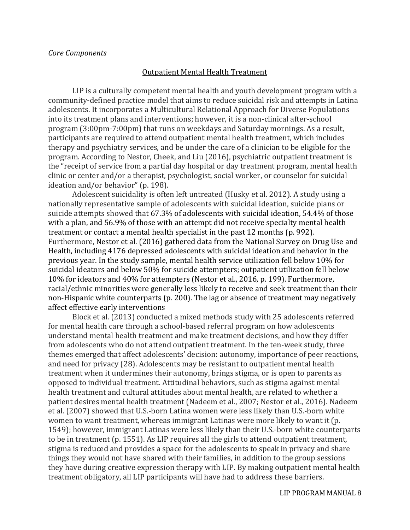#### Outpatient Mental Health Treatment

LIP is a culturally competent mental health and youth development program with a community-defined practice model that aims to reduce suicidal risk and attempts in Latina adolescents. It incorporates a Multicultural Relational Approach for Diverse Populations into its treatment plans and interventions; however, it is a non-clinical after-school program (3:00pm-7:00pm) that runs on weekdays and Saturday mornings. As a result, participants are required to attend outpatient mental health treatment, which includes therapy and psychiatry services, and be under the care of a clinician to be eligible for the program. According to Nestor, Cheek, and Liu (2016), psychiatric outpatient treatment is the "receipt of service from a partial day hospital or day treatment program, mental health clinic or center and/or a therapist, psychologist, social worker, or counselor for suicidal ideation and/or behavior" (p. 198).

Adolescent suicidality is often left untreated (Husky et al. 2012). A study using a nationally representative sample of adolescents with suicidal ideation, suicide plans or suicide attempts showed that 67.3% of adolescents with suicidal ideation, 54.4% of those with a plan, and 56.9% of those with an attempt did not receive specialty mental health treatment or contact a mental health specialist in the past 12 months (p. 992). Furthermore, Nestor et al. (2016) gathered data from the National Survey on Drug Use and Health, including 4176 depressed adolescents with suicidal ideation and behavior in the previous year. In the study sample, mental health service utilization fell below 10% for suicidal ideators and below 50% for suicide attempters; outpatient utilization fell below 10% for ideators and 40% for attempters (Nestor et al., 2016, p. 199). Furthermore, racial/ethnic minorities were generally less likely to receive and seek treatment than their non-Hispanic white counterparts (p. 200). The lag or absence of treatment may negatively affect effective early interventions

Block et al. (2013) conducted a mixed methods study with 25 adolescents referred for mental health care through a school-based referral program on how adolescents understand mental health treatment and make treatment decisions, and how they differ from adolescents who do not attend outpatient treatment. In the ten-week study, three themes emerged that affect adolescents' decision: autonomy, importance of peer reactions, and need for privacy (28). Adolescents may be resistant to outpatient mental health treatment when it undermines their autonomy, brings stigma, or is open to parents as opposed to individual treatment. Attitudinal behaviors, such as stigma against mental health treatment and cultural attitudes about mental health, are related to whether a patient desires mental health treatment (Nadeem et al., 2007; Nestor et al., 2016). Nadeem et al. (2007) showed that U.S.-born Latina women were less likely than U.S.-born white women to want treatment, whereas immigrant Latinas were more likely to want it (p. 1549); however, immigrant Latinas were less likely than their U.S.-born white counterparts to be in treatment (p. 1551). As LIP requires all the girls to attend outpatient treatment, stigma is reduced and provides a space for the adolescents to speak in privacy and share things they would not have shared with their families, in addition to the group sessions they have during creative expression therapy with LIP. By making outpatient mental health treatment obligatory, all LIP participants will have had to address these barriers.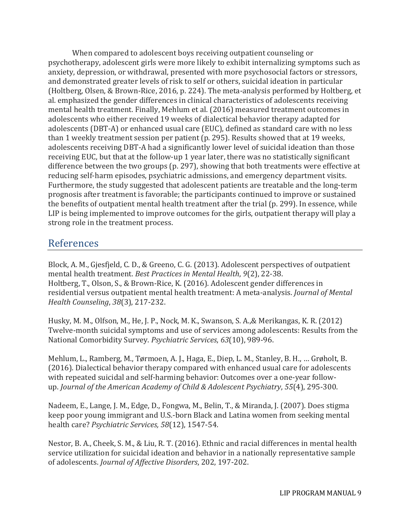When compared to adolescent boys receiving outpatient counseling or psychotherapy, adolescent girls were more likely to exhibit internalizing symptoms such as anxiety, depression, or withdrawal, presented with more psychosocial factors or stressors, and demonstrated greater levels of risk to self or others, suicidal ideation in particular (Holtberg, Olsen, & Brown-Rice, 2016, p. 224). The meta-analysis performed by Holtberg, et al. emphasized the gender differences in clinical characteristics of adolescents receiving mental health treatment. Finally, Mehlum et al. (2016) measured treatment outcomes in adolescents who either received 19 weeks of dialectical behavior therapy adapted for adolescents (DBT-A) or enhanced usual care (EUC), defined as standard care with no less than 1 weekly treatment session per patient (p. 295). Results showed that at 19 weeks, adolescents receiving DBT-A had a significantly lower level of suicidal ideation than those receiving EUC, but that at the follow-up 1 year later, there was no statistically significant difference between the two groups (p. 297), showing that both treatments were effective at reducing self-harm episodes, psychiatric admissions, and emergency department visits. Furthermore, the study suggested that adolescent patients are treatable and the long-term prognosis after treatment is favorable; the participants continued to improve or sustained the benefits of outpatient mental health treatment after the trial (p. 299). In essence, while LIP is being implemented to improve outcomes for the girls, outpatient therapy will play a strong role in the treatment process.

# References

Block, A. M., Gjesfjeld, C. D., & Greeno, C. G. (2013). Adolescent perspectives of outpatient mental health treatment. *Best Practices in Mental Health*, *9*(2), 22-38. Holtberg, T., Olson, S., & Brown-Rice, K. (2016). Adolescent gender differences in residential versus outpatient mental health treatment: A meta-analysis. *Journal of Mental Health Counseling*, *38*(3), 217-232.

Husky, M. M., Olfson, M., He, J. P., Nock, M. K., Swanson, S. A.,& Merikangas, K. R. (2012) Twelve-month suicidal symptoms and use of services among adolescents: Results from the National Comorbidity Survey. *Psychiatric Services*, *63*(10), 989-96.

Mehlum, L., Ramberg, M., Tørmoen, A. J., Haga, E., Diep, L. M., Stanley, B. H., … Grøholt, B. (2016). Dialectical behavior therapy compared with enhanced usual care for adolescents with repeated suicidal and self-harming behavior: Outcomes over a one-year followup. *Journal of the American Academy of Child & Adolescent Psychiatry*, *55*(4), 295-300.

Nadeem, E., Lange, J. M., Edge, D., Fongwa, M., Belin, T., & Miranda, J. (2007). Does stigma keep poor young immigrant and U.S.-born Black and Latina women from seeking mental health care? *Psychiatric Services, 58*(12), 1547-54.

Nestor, B. A., Cheek, S. M., & Liu, R. T. (2016). Ethnic and racial differences in mental health service utilization for suicidal ideation and behavior in a nationally representative sample of adolescents. *Journal of Affective Disorders*, 202, 197-202.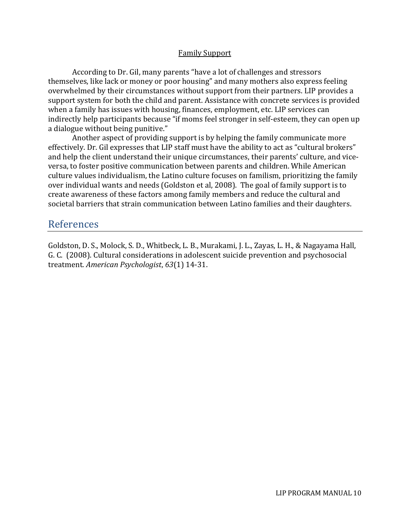#### Family Support

According to Dr. Gil, many parents "have a lot of challenges and stressors themselves, like lack or money or poor housing" and many mothers also express feeling overwhelmed by their circumstances without support from their partners. LIP provides a support system for both the child and parent. Assistance with concrete services is provided when a family has issues with housing, finances, employment, etc. LIP services can indirectly help participants because "if moms feel stronger in self-esteem, they can open up a dialogue without being punitive."

Another aspect of providing support is by helping the family communicate more effectively. Dr. Gil expresses that LIP staff must have the ability to act as "cultural brokers" and help the client understand their unique circumstances, their parents' culture, and viceversa, to foster positive communication between parents and children. While American culture values individualism, the Latino culture focuses on familism, prioritizing the family over individual wants and needs (Goldston et al, 2008). The goal of family support is to create awareness of these factors among family members and reduce the cultural and societal barriers that strain communication between Latino families and their daughters.

## References

Goldston, D. S., Molock, S. D., Whitbeck, L. B., Murakami, J. L., Zayas, L. H., & Nagayama Hall, G. C. (2008). Cultural considerations in adolescent suicide prevention and psychosocial treatment. *American Psychologist*, *63*(1) 14-31.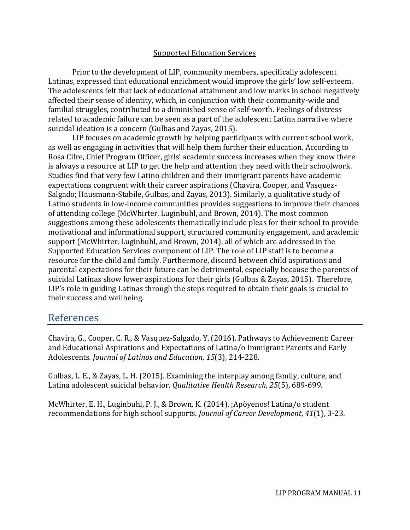#### Supported Education Services

Prior to the development of LIP, community members, specifically adolescent Latinas, expressed that educational enrichment would improve the girls' low self-esteem. The adolescents felt that lack of educational attainment and low marks in school negatively affected their sense of identity, which, in conjunction with their community-wide and familial struggles, contributed to a diminished sense of self-worth. Feelings of distress related to academic failure can be seen as a part of the adolescent Latina narrative where suicidal ideation is a concern (Gulbas and Zayas, 2015).

LIP focuses on academic growth by helping participants with current school work, as well as engaging in activities that will help them further their education. According to Rosa Cifre, Chief Program Officer, girls' academic success increases when they know there is always a resource at LIP to get the help and attention they need with their schoolwork. Studies find that very few Latino children and their immigrant parents have academic expectations congruent with their career aspirations (Chavira, Cooper, and Vasquez-Salgado; Hausmann-Stabile, Gulbas, and Zayas, 2013). Similarly, a qualitative study of Latino students in low-income communities provides suggestions to improve their chances of attending college (McWhirter, Luginbuhl, and Brown, 2014). The most common suggestions among these adolescents thematically include pleas for their school to provide motivational and informational support, structured community engagement, and academic support (McWhirter, Luginbuhl, and Brown, 2014), all of which are addressed in the Supported Education Services component of LIP. The role of LIP staff is to become a resource for the child and family. Furthermore, discord between child aspirations and parental expectations for their future can be detrimental, especially because the parents of suicidal Latinas show lower aspirations for their girls (Gulbas & Zayas, 2015). Therefore, LIP's role in guiding Latinas through the steps required to obtain their goals is crucial to their success and wellbeing.

# References

Chavira, G., Cooper, C. R., & Vasquez-Salgado, Y. (2016). Pathways to Achievement: Career and Educational Aspirations and Expectations of Latina/o Immigrant Parents and Early Adolescents*. Journal of Latinos and Education*, *15*(3), 214-228.

Gulbas, L. E., & Zayas, L. H. (2015). Examining the interplay among family, culture, and Latina adolescent suicidal behavior. *Qualitative Health Research*, *25*(5), 689-699.

McWhirter, E. H., Luginbuhl, P. J., & Brown, K. (2014). ¡Apòyenos! Latina/o student recommendations for high school supports. *Journal of Career Development*, *41*(1), 3-23.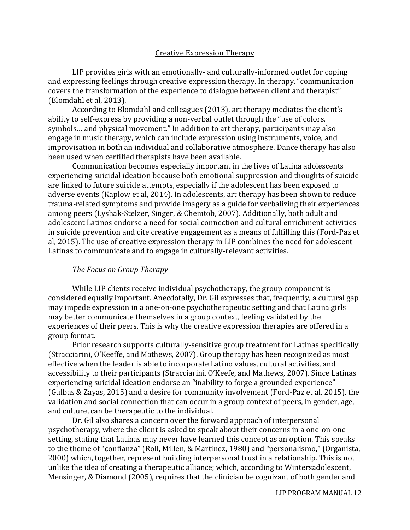#### Creative Expression Therapy

LIP provides girls with an emotionally- and culturally-informed outlet for coping and expressing feelings through creative expression therapy. In therapy, "communication covers the transformation of the experience to dialogue between client and therapist" (Blomdahl et al, 2013).

According to Blomdahl and colleagues (2013), art therapy mediates the client's ability to self-express by providing a non-verbal outlet through the "use of colors, symbols… and physical movement." In addition to art therapy, participants may also engage in music therapy, which can include expression using instruments, voice, and improvisation in both an individual and collaborative atmosphere. Dance therapy has also been used when certified therapists have been available.

Communication becomes especially important in the lives of Latina adolescents experiencing suicidal ideation because both emotional suppression and thoughts of suicide are linked to future suicide attempts, especially if the adolescent has been exposed to adverse events (Kaplow et al, 2014). In adolescents, art therapy has been shown to reduce trauma-related symptoms and provide imagery as a guide for verbalizing their experiences among peers (Lyshak-Stelzer, Singer, & Chemtob, 2007). Additionally, both adult and adolescent Latinos endorse a need for social connection and cultural enrichment activities in suicide prevention and cite creative engagement as a means of fulfilling this (Ford-Paz et al, 2015). The use of creative expression therapy in LIP combines the need for adolescent Latinas to communicate and to engage in culturally-relevant activities.

#### *The Focus on Group Therapy*

While LIP clients receive individual psychotherapy, the group component is considered equally important. Anecdotally, Dr. Gil expresses that, frequently, a cultural gap may impede expression in a one-on-one psychotherapeutic setting and that Latina girls may better communicate themselves in a group context, feeling validated by the experiences of their peers. This is why the creative expression therapies are offered in a group format.

Prior research supports culturally-sensitive group treatment for Latinas specifically (Stracciarini, O'Keeffe, and Mathews, 2007). Group therapy has been recognized as most effective when the leader is able to incorporate Latino values, cultural activities, and accessibility to their participants (Stracciarini, O'Keefe, and Mathews, 2007). Since Latinas experiencing suicidal ideation endorse an "inability to forge a grounded experience" (Gulbas & Zayas, 2015) and a desire for community involvement (Ford-Paz et al, 2015), the validation and social connection that can occur in a group context of peers, in gender, age, and culture, can be therapeutic to the individual.

Dr. Gil also shares a concern over the forward approach of interpersonal psychotherapy, where the client is asked to speak about their concerns in a one-on-one setting, stating that Latinas may never have learned this concept as an option. This speaks to the theme of "confianza" (Roll, Millen, & Martinez, 1980) and "personalismo," (Organista, 2000) which, together, represent building interpersonal trust in a relationship. This is not unlike the idea of creating a therapeutic alliance; which, according to Wintersadolescent, Mensinger, & Diamond (2005), requires that the clinician be cognizant of both gender and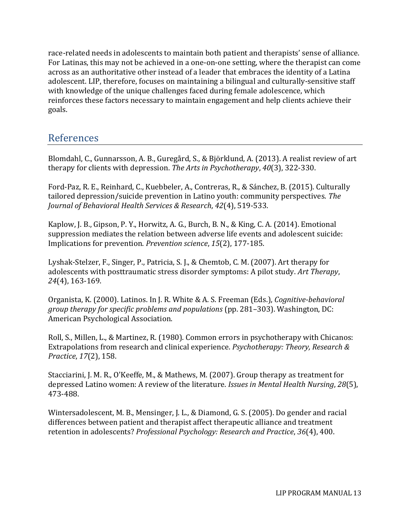race-related needs in adolescents to maintain both patient and therapists' sense of alliance. For Latinas, this may not be achieved in a one-on-one setting, where the therapist can come across as an authoritative other instead of a leader that embraces the identity of a Latina adolescent. LIP, therefore, focuses on maintaining a bilingual and culturally-sensitive staff with knowledge of the unique challenges faced during female adolescence, which reinforces these factors necessary to maintain engagement and help clients achieve their goals.

# References

Blomdahl, C., Gunnarsson, A. B., Guregård, S., & Björklund, A. (2013). A realist review of art therapy for clients with depression. *The Arts in Psychotherapy*, *40*(3), 322-330.

Ford-Paz, R. E., Reinhard, C., Kuebbeler, A., Contreras, R., & Sánchez, B. (2015). Culturally tailored depression/suicide prevention in Latino youth: community perspectives. *The Journal of Behavioral Health Services & Research*, *42*(4), 519-533.

Kaplow, J. B., Gipson, P. Y., Horwitz, A. G., Burch, B. N., & King, C. A. (2014). Emotional suppression mediates the relation between adverse life events and adolescent suicide: Implications for prevention. *Prevention science*, *15*(2), 177-185.

Lyshak-Stelzer, F., Singer, P., Patricia, S. J., & Chemtob, C. M. (2007). Art therapy for adolescents with posttraumatic stress disorder symptoms: A pilot study. *Art Therapy*, *24*(4), 163-169.

Organista, K. (2000). Latinos. In J. R. White & A. S. Freeman (Eds.), *Cognitive-behavioral group therapy for specific problems and populations* (pp. 281–303). Washington, DC: American Psychological Association.

Roll, S., Millen, L., & Martinez, R. (1980). Common errors in psychotherapy with Chicanos: Extrapolations from research and clinical experience. *Psychotherapy: Theory, Research & Practice*, *17*(2), 158.

Stacciarini, J. M. R., O'Keeffe, M., & Mathews, M. (2007). Group therapy as treatment for depressed Latino women: A review of the literature. *Issues in Mental Health Nursing*, *28*(5), 473-488.

Wintersadolescent, M. B., Mensinger, J. L., & Diamond, G. S. (2005). Do gender and racial differences between patient and therapist affect therapeutic alliance and treatment retention in adolescents? *Professional Psychology: Research and Practice*, *36*(4), 400.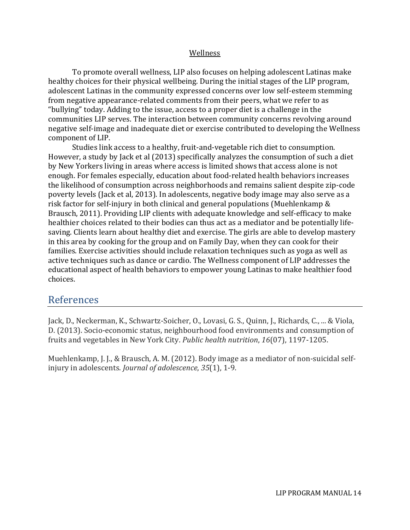#### Wellness

To promote overall wellness, LIP also focuses on helping adolescent Latinas make healthy choices for their physical wellbeing. During the initial stages of the LIP program, adolescent Latinas in the community expressed concerns over low self-esteem stemming from negative appearance-related comments from their peers, what we refer to as "bullying" today. Adding to the issue, access to a proper diet is a challenge in the communities LIP serves. The interaction between community concerns revolving around negative self-image and inadequate diet or exercise contributed to developing the Wellness component of LIP.

Studies link access to a healthy, fruit-and-vegetable rich diet to consumption. However, a study by Jack et al (2013) specifically analyzes the consumption of such a diet by New Yorkers living in areas where access is limited shows that access alone is not enough. For females especially, education about food-related health behaviors increases the likelihood of consumption across neighborhoods and remains salient despite zip-code poverty levels (Jack et al, 2013). In adolescents, negative body image may also serve as a risk factor for self-injury in both clinical and general populations (Muehlenkamp & Brausch, 2011). Providing LIP clients with adequate knowledge and self-efficacy to make healthier choices related to their bodies can thus act as a mediator and be potentially lifesaving. Clients learn about healthy diet and exercise. The girls are able to develop mastery in this area by cooking for the group and on Family Day, when they can cook for their families. Exercise activities should include relaxation techniques such as yoga as well as active techniques such as dance or cardio. The Wellness component of LIP addresses the educational aspect of health behaviors to empower young Latinas to make healthier food choices.

### References

Jack, D., Neckerman, K., Schwartz-Soicher, O., Lovasi, G. S., Quinn, J., Richards, C., ... & Viola, D. (2013). Socio-economic status, neighbourhood food environments and consumption of fruits and vegetables in New York City. *Public health nutrition*, *16*(07), 1197-1205.

Muehlenkamp, J. J., & Brausch, A. M. (2012). Body image as a mediator of non-suicidal selfinjury in adolescents. *Journal of adolescence*, *35*(1), 1-9.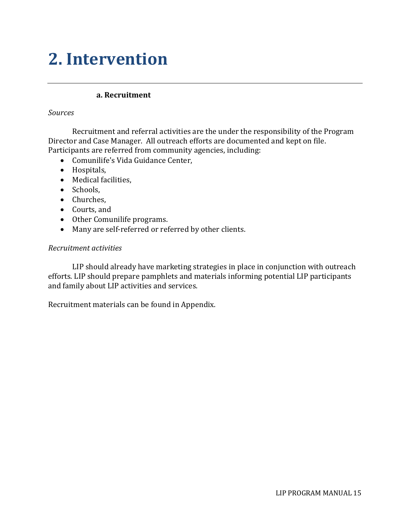# **2. Intervention**

#### **a. Recruitment**

#### *Sources*

Recruitment and referral activities are the under the responsibility of the Program Director and Case Manager. All outreach efforts are documented and kept on file. Participants are referred from community agencies, including:

- Comunilife's Vida Guidance Center,
- Hospitals,
- Medical facilities,
- Schools.
- Churches,
- Courts, and
- Other Comunilife programs.
- Many are self-referred or referred by other clients.

#### *Recruitment activities*

LIP should already have marketing strategies in place in conjunction with outreach efforts. LIP should prepare pamphlets and materials informing potential LIP participants and family about LIP activities and services.

Recruitment materials can be found in Appendix.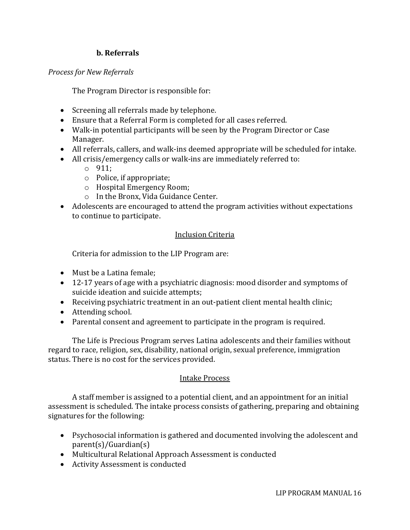#### **b. Referrals**

#### *Process for New Referrals*

The Program Director is responsible for:

- Screening all referrals made by telephone.
- Ensure that a Referral Form is completed for all cases referred.
- Walk-in potential participants will be seen by the Program Director or Case Manager.
- All referrals, callers, and walk-ins deemed appropriate will be scheduled for intake.
- All crisis/emergency calls or walk-ins are immediately referred to:
	- o 911;
	- o Police, if appropriate;
	- o Hospital Emergency Room;
	- o In the Bronx, Vida Guidance Center.
- Adolescents are encouraged to attend the program activities without expectations to continue to participate.

#### Inclusion Criteria

Criteria for admission to the LIP Program are:

- Must be a Latina female;
- 12-17 years of age with a psychiatric diagnosis: mood disorder and symptoms of suicide ideation and suicide attempts;
- Receiving psychiatric treatment in an out-patient client mental health clinic;
- Attending school.
- Parental consent and agreement to participate in the program is required.

The Life is Precious Program serves Latina adolescents and their families without regard to race, religion, sex, disability, national origin, sexual preference, immigration status. There is no cost for the services provided.

#### Intake Process

A staff member is assigned to a potential client, and an appointment for an initial assessment is scheduled. The intake process consists of gathering, preparing and obtaining signatures for the following:

- Psychosocial information is gathered and documented involving the adolescent and parent(s)/Guardian(s)
- Multicultural Relational Approach Assessment is conducted
- Activity Assessment is conducted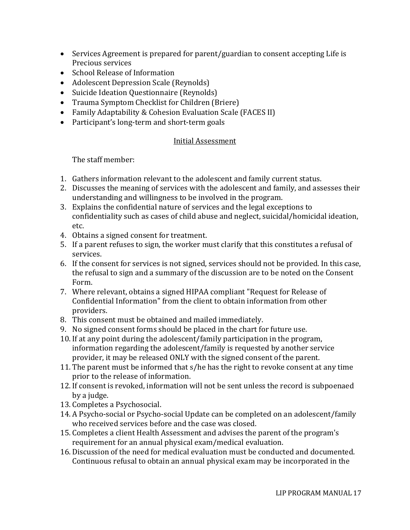- Services Agreement is prepared for parent/guardian to consent accepting Life is Precious services
- School Release of Information
- Adolescent Depression Scale (Reynolds)
- Suicide Ideation Questionnaire (Reynolds)
- Trauma Symptom Checklist for Children (Briere)
- Family Adaptability & Cohesion Evaluation Scale (FACES II)
- Participant's long-term and short-term goals

#### Initial Assessment

The staff member:

- 1. Gathers information relevant to the adolescent and family current status.
- 2. Discusses the meaning of services with the adolescent and family, and assesses their understanding and willingness to be involved in the program.
- 3. Explains the confidential nature of services and the legal exceptions to confidentiality such as cases of child abuse and neglect, suicidal/homicidal ideation, etc.
- 4. Obtains a signed consent for treatment.
- 5. If a parent refuses to sign, the worker must clarify that this constitutes a refusal of services.
- 6. If the consent for services is not signed, services should not be provided. In this case, the refusal to sign and a summary of the discussion are to be noted on the Consent Form.
- 7. Where relevant, obtains a signed HIPAA compliant "Request for Release of Confidential Information" from the client to obtain information from other providers.
- 8. This consent must be obtained and mailed immediately.
- 9. No signed consent forms should be placed in the chart for future use.
- 10. If at any point during the adolescent/family participation in the program, information regarding the adolescent/family is requested by another service provider, it may be released ONLY with the signed consent of the parent.
- 11. The parent must be informed that s/he has the right to revoke consent at any time prior to the release of information.
- 12. If consent is revoked, information will not be sent unless the record is subpoenaed by a judge.
- 13. Completes a Psychosocial.
- 14. A Psycho-social or Psycho-social Update can be completed on an adolescent/family who received services before and the case was closed.
- 15. Completes a client Health Assessment and advises the parent of the program's requirement for an annual physical exam/medical evaluation.
- 16. Discussion of the need for medical evaluation must be conducted and documented. Continuous refusal to obtain an annual physical exam may be incorporated in the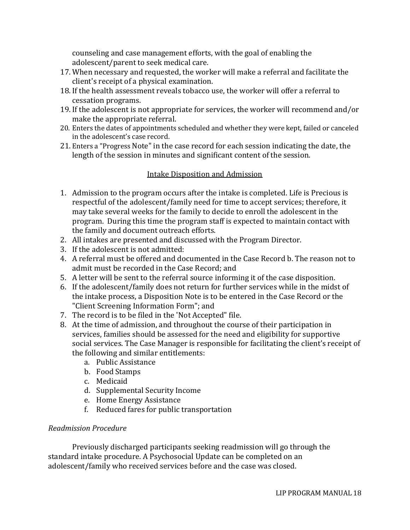counseling and case management efforts, with the goal of enabling the adolescent/parent to seek medical care.

- 17. When necessary and requested, the worker will make a referral and facilitate the client's receipt of a physical examination.
- 18. If the health assessment reveals tobacco use, the worker will offer a referral to cessation programs.
- 19. If the adolescent is not appropriate for services, the worker will recommend and/or make the appropriate referral.
- 20. Enters the dates of appointments scheduled and whether they were kept, failed or canceled in the adolescent's case record.
- 21. Enters a "Progress Note" in the case record for each session indicating the date, the length of the session in minutes and significant content of the session.

#### Intake Disposition and Admission

- 1. Admission to the program occurs after the intake is completed. Life is Precious is respectful of the adolescent/family need for time to accept services; therefore, it may take several weeks for the family to decide to enroll the adolescent in the program. During this time the program staff is expected to maintain contact with the family and document outreach efforts.
- 2. All intakes are presented and discussed with the Program Director.
- 3. If the adolescent is not admitted:
- 4. A referral must be offered and documented in the Case Record b. The reason not to admit must be recorded in the Case Record; and
- 5. A letter will be sent to the referral source informing it of the case disposition.
- 6. If the adolescent/family does not return for further services while in the midst of the intake process, a Disposition Note is to be entered in the Case Record or the "Client Screening Information Form"; and
- 7. The record is to be filed in the 'Not Accepted" file.
- 8. At the time of admission, and throughout the course of their participation in services, families should be assessed for the need and eligibility for supportive social services. The Case Manager is responsible for facilitating the client's receipt of the following and similar entitlements:
	- a. Public Assistance
	- b. Food Stamps
	- c. Medicaid
	- d. Supplemental Security Income
	- e. Home Energy Assistance
	- f. Reduced fares for public transportation

#### *Readmission Procedure*

Previously discharged participants seeking readmission will go through the standard intake procedure. A Psychosocial Update can be completed on an adolescent/family who received services before and the case was closed.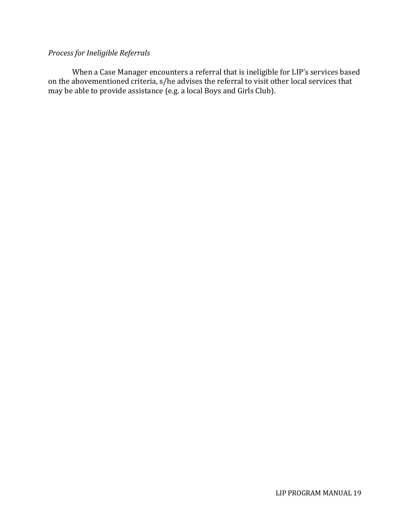### *Process for Ineligible Referrals*

When a Case Manager encounters a referral that is ineligible for LIP's services based on the abovementioned criteria, s/he advises the referral to visit other local services that may be able to provide assistance (e.g. a local Boys and Girls Club).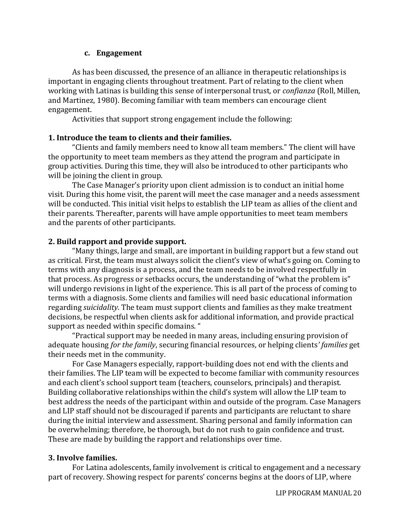#### **c. Engagement**

As has been discussed, the presence of an alliance in therapeutic relationships is important in engaging clients throughout treatment. Part of relating to the client when working with Latinas is building this sense of interpersonal trust, or *confianza* (Roll, Millen, and Martinez, 1980). Becoming familiar with team members can encourage client engagement.

Activities that support strong engagement include the following:

#### **1. Introduce the team to clients and their families.**

"Clients and family members need to know all team members." The client will have the opportunity to meet team members as they attend the program and participate in group activities. During this time, they will also be introduced to other participants who will be joining the client in group.

The Case Manager's priority upon client admission is to conduct an initial home visit. During this home visit, the parent will meet the case manager and a needs assessment will be conducted. This initial visit helps to establish the LIP team as allies of the client and their parents. Thereafter, parents will have ample opportunities to meet team members and the parents of other participants.

#### **2. Build rapport and provide support.**

"Many things, large and small, are important in building rapport but a few stand out as critical. First, the team must always solicit the client's view of what's going on. Coming to terms with any diagnosis is a process, and the team needs to be involved respectfully in that process. As progress or setbacks occurs, the understanding of "what the problem is" will undergo revisions in light of the experience. This is all part of the process of coming to terms with a diagnosis. Some clients and families will need basic educational information regarding *suicidality*. The team must support clients and families as they make treatment decisions, be respectful when clients ask for additional information, and provide practical support as needed within specific domains. "

"Practical support may be needed in many areas, including ensuring provision of adequate housing *for the family*, securing financial resources, or helping clients*' families* get their needs met in the community.

For Case Managers especially, rapport-building does not end with the clients and their families. The LIP team will be expected to become familiar with community resources and each client's school support team (teachers, counselors, principals) and therapist. Building collaborative relationships within the child's system will allow the LIP team to best address the needs of the participant within and outside of the program. Case Managers and LIP staff should not be discouraged if parents and participants are reluctant to share during the initial interview and assessment. Sharing personal and family information can be overwhelming; therefore, be thorough, but do not rush to gain confidence and trust. These are made by building the rapport and relationships over time.

#### **3. Involve families.**

For Latina adolescents, family involvement is critical to engagement and a necessary part of recovery. Showing respect for parents' concerns begins at the doors of LIP, where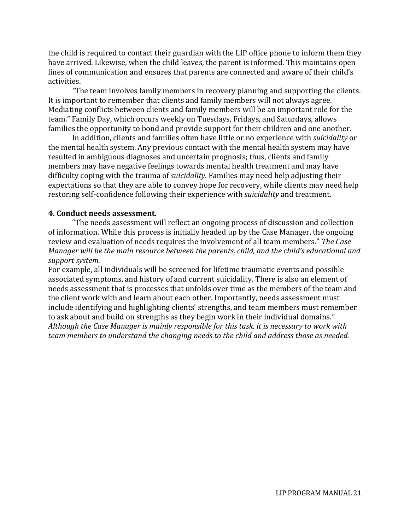the child is required to contact their guardian with the LIP office phone to inform them they have arrived. Likewise, when the child leaves, the parent is informed. This maintains open lines of communication and ensures that parents are connected and aware of their child's activities.

*"*The team involves family members in recovery planning and supporting the clients. It is important to remember that clients and family members will not always agree. Mediating conflicts between clients and family members will be an important role for the team." Family Day, which occurs weekly on Tuesdays, Fridays, and Saturdays, allows families the opportunity to bond and provide support for their children and one another.

In addition, clients and families often have little or no experience with *suicidality* or the mental health system. Any previous contact with the mental health system may have resulted in ambiguous diagnoses and uncertain prognosis; thus, clients and family members may have negative feelings towards mental health treatment and may have difficulty coping with the trauma of *suicidality*. Families may need help adjusting their expectations so that they are able to convey hope for recovery, while clients may need help restoring self-confidence following their experience with *suicidality* and treatment.

#### **4. Conduct needs assessment.**

"The needs assessment will reflect an ongoing process of discussion and collection of information. While this process is initially headed up by the Case Manager, the ongoing review and evaluation of needs requires the involvement of all team members." *The Case Manager will be the main resource between the parents, child, and the child's educational and support system.*

For example, all individuals will be screened for lifetime traumatic events and possible associated symptoms, and history of and current suicidality. There is also an element of needs assessment that is processes that unfolds over time as the members of the team and the client work with and learn about each other. Importantly, needs assessment must include identifying and highlighting clients' strengths, and team members must remember to ask about and build on strengths as they begin work in their individual domains." *Although the Case Manager is mainly responsible for this task, it is necessary to work with team members to understand the changing needs to the child and address those as needed.*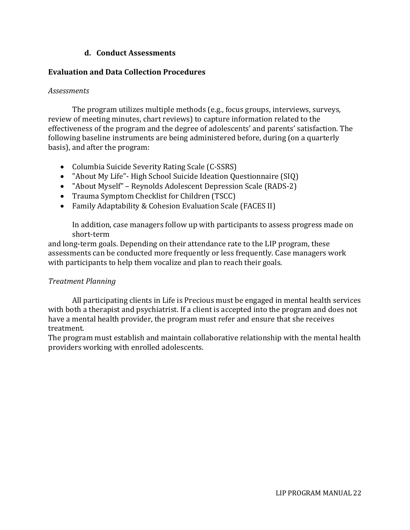#### **d. Conduct Assessments**

#### **Evaluation and Data Collection Procedures**

#### *Assessments*

The program utilizes multiple methods (e.g., focus groups, interviews, surveys, review of meeting minutes, chart reviews) to capture information related to the effectiveness of the program and the degree of adolescents' and parents' satisfaction. The following baseline instruments are being administered before, during (on a quarterly basis), and after the program:

- Columbia Suicide Severity Rating Scale (C-SSRS)
- "About My Life"- High School Suicide Ideation Questionnaire (SIQ)
- "About Myself" Reynolds Adolescent Depression Scale (RADS-2)
- Trauma Symptom Checklist for Children (TSCC)
- Family Adaptability & Cohesion Evaluation Scale (FACES II)

In addition, case managers follow up with participants to assess progress made on short-term

and long-term goals. Depending on their attendance rate to the LIP program, these assessments can be conducted more frequently or less frequently. Case managers work with participants to help them vocalize and plan to reach their goals.

#### *Treatment Planning*

All participating clients in Life is Precious must be engaged in mental health services with both a therapist and psychiatrist. If a client is accepted into the program and does not have a mental health provider, the program must refer and ensure that she receives treatment.

The program must establish and maintain collaborative relationship with the mental health providers working with enrolled adolescents.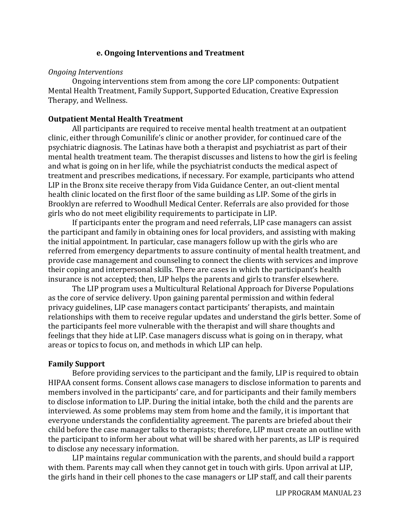#### **e. Ongoing Interventions and Treatment**

#### *Ongoing Interventions*

Ongoing interventions stem from among the core LIP components: Outpatient Mental Health Treatment, Family Support, Supported Education, Creative Expression Therapy, and Wellness.

#### **Outpatient Mental Health Treatment**

All participants are required to receive mental health treatment at an outpatient clinic, either through Comunilife's clinic or another provider, for continued care of the psychiatric diagnosis. The Latinas have both a therapist and psychiatrist as part of their mental health treatment team. The therapist discusses and listens to how the girl is feeling and what is going on in her life, while the psychiatrist conducts the medical aspect of treatment and prescribes medications, if necessary. For example, participants who attend LIP in the Bronx site receive therapy from Vida Guidance Center, an out-client mental health clinic located on the first floor of the same building as LIP. Some of the girls in Brooklyn are referred to Woodhull Medical Center. Referrals are also provided for those girls who do not meet eligibility requirements to participate in LIP.

If participants enter the program and need referrals, LIP case managers can assist the participant and family in obtaining ones for local providers, and assisting with making the initial appointment. In particular, case managers follow up with the girls who are referred from emergency departments to assure continuity of mental health treatment, and provide case management and counseling to connect the clients with services and improve their coping and interpersonal skills. There are cases in which the participant's health insurance is not accepted; then, LIP helps the parents and girls to transfer elsewhere.

The LIP program uses a Multicultural Relational Approach for Diverse Populations as the core of service delivery. Upon gaining parental permission and within federal privacy guidelines, LIP case managers contact participants' therapists, and maintain relationships with them to receive regular updates and understand the girls better. Some of the participants feel more vulnerable with the therapist and will share thoughts and feelings that they hide at LIP. Case managers discuss what is going on in therapy, what areas or topics to focus on, and methods in which LIP can help.

#### **Family Support**

Before providing services to the participant and the family, LIP is required to obtain HIPAA consent forms. Consent allows case managers to disclose information to parents and members involved in the participants' care, and for participants and their family members to disclose information to LIP. During the initial intake, both the child and the parents are interviewed. As some problems may stem from home and the family, it is important that everyone understands the confidentiality agreement. The parents are briefed about their child before the case manager talks to therapists; therefore, LIP must create an outline with the participant to inform her about what will be shared with her parents, as LIP is required to disclose any necessary information.

LIP maintains regular communication with the parents, and should build a rapport with them. Parents may call when they cannot get in touch with girls. Upon arrival at LIP, the girls hand in their cell phones to the case managers or LIP staff, and call their parents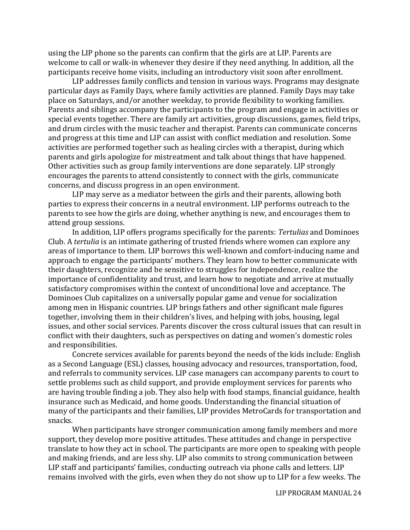using the LIP phone so the parents can confirm that the girls are at LIP. Parents are welcome to call or walk-in whenever they desire if they need anything. In addition, all the participants receive home visits, including an introductory visit soon after enrollment.

LIP addresses family conflicts and tension in various ways. Programs may designate particular days as Family Days, where family activities are planned. Family Days may take place on Saturdays, and/or another weekday, to provide flexibility to working families. Parents and siblings accompany the participants to the program and engage in activities or special events together. There are family art activities, group discussions, games, field trips, and drum circles with the music teacher and therapist. Parents can communicate concerns and progress at this time and LIP can assist with conflict mediation and resolution. Some activities are performed together such as healing circles with a therapist, during which parents and girls apologize for mistreatment and talk about things that have happened. Other activities such as group family interventions are done separately. LIP strongly encourages the parents to attend consistently to connect with the girls, communicate concerns, and discuss progress in an open environment.

LIP may serve as a mediator between the girls and their parents, allowing both parties to express their concerns in a neutral environment. LIP performs outreach to the parents to see how the girls are doing, whether anything is new, and encourages them to attend group sessions.

In addition, LIP offers programs specifically for the parents: *Tertulias* and Dominoes Club. A *tertulia* is an intimate gathering of trusted friends where women can explore any areas of importance to them. LIP borrows this well-known and comfort-inducing name and approach to engage the participants' mothers. They learn how to better communicate with their daughters, recognize and be sensitive to struggles for independence, realize the importance of confidentiality and trust, and learn how to negotiate and arrive at mutually satisfactory compromises within the context of unconditional love and acceptance. The Dominoes Club capitalizes on a universally popular game and venue for socialization among men in Hispanic countries. LIP brings fathers and other significant male figures together, involving them in their children's lives, and helping with jobs, housing, legal issues, and other social services. Parents discover the cross cultural issues that can result in conflict with their daughters, such as perspectives on dating and women's domestic roles and responsibilities.

Concrete services available for parents beyond the needs of the kids include: English as a Second Language (ESL) classes, housing advocacy and resources, transportation, food, and referrals to community services. LIP case managers can accompany parents to court to settle problems such as child support, and provide employment services for parents who are having trouble finding a job. They also help with food stamps, financial guidance, health insurance such as Medicaid, and home goods. Understanding the financial situation of many of the participants and their families, LIP provides MetroCards for transportation and snacks.

When participants have stronger communication among family members and more support, they develop more positive attitudes. These attitudes and change in perspective translate to how they act in school. The participants are more open to speaking with people and making friends, and are less shy. LIP also commits to strong communication between LIP staff and participants' families, conducting outreach via phone calls and letters. LIP remains involved with the girls, even when they do not show up to LIP for a few weeks. The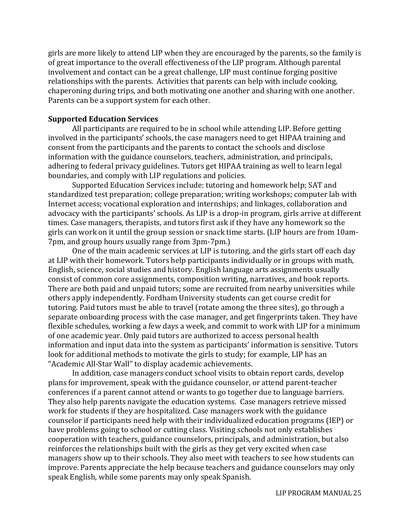girls are more likely to attend LIP when they are encouraged by the parents, so the family is of great importance to the overall effectiveness of the LIP program. Although parental involvement and contact can be a great challenge, LIP must continue forging positive relationships with the parents. Activities that parents can help with include cooking, chaperoning during trips, and both motivating one another and sharing with one another. Parents can be a support system for each other.

#### **Supported Education Services**

All participants are required to be in school while attending LIP. Before getting involved in the participants' schools, the case managers need to get HIPAA training and consent from the participants and the parents to contact the schools and disclose information with the guidance counselors, teachers, administration, and principals, adhering to federal privacy guidelines. Tutors get HIPAA training as well to learn legal boundaries, and comply with LIP regulations and policies.

Supported Education Services include: tutoring and homework help; SAT and standardized test preparation; college preparation; writing workshops; computer lab with Internet access; vocational exploration and internships; and linkages, collaboration and advocacy with the participants' schools. As LIP is a drop-in program, girls arrive at different times. Case managers, therapists, and tutors first ask if they have any homework so the girls can work on it until the group session or snack time starts. (LIP hours are from 10am-7pm, and group hours usually range from 3pm-7pm.)

One of the main academic services at LIP is tutoring, and the girls start off each day at LIP with their homework. Tutors help participants individually or in groups with math, English, science, social studies and history. English language arts assignments usually consist of common core assignments, composition writing, narratives, and book reports. There are both paid and unpaid tutors; some are recruited from nearby universities while others apply independently. Fordham University students can get course credit for tutoring. Paid tutors must be able to travel (rotate among the three sites), go through a separate onboarding process with the case manager, and get fingerprints taken. They have flexible schedules, working a few days a week, and commit to work with LIP for a minimum of one academic year. Only paid tutors are authorized to access personal health information and input data into the system as participants' information is sensitive. Tutors look for additional methods to motivate the girls to study; for example, LIP has an "Academic All-Star Wall" to display academic achievements.

In addition, case managers conduct school visits to obtain report cards, develop plans for improvement, speak with the guidance counselor, or attend parent-teacher conferences if a parent cannot attend or wants to go together due to language barriers. They also help parents navigate the education systems. Case managers retrieve missed work for students if they are hospitalized. Case managers work with the guidance counselor if participants need help with their individualized education programs (IEP) or have problems going to school or cutting class. Visiting schools not only establishes cooperation with teachers, guidance counselors, principals, and administration, but also reinforces the relationships built with the girls as they get very excited when case managers show up to their schools. They also meet with teachers to see how students can improve. Parents appreciate the help because teachers and guidance counselors may only speak English, while some parents may only speak Spanish.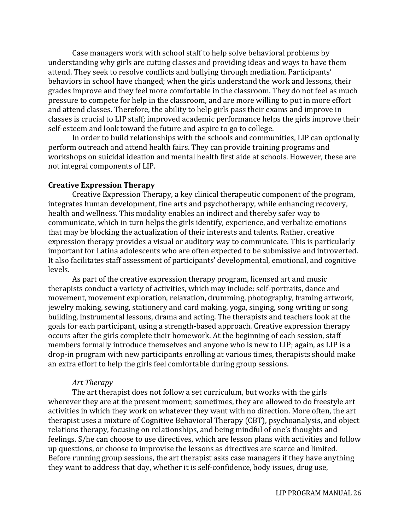Case managers work with school staff to help solve behavioral problems by understanding why girls are cutting classes and providing ideas and ways to have them attend. They seek to resolve conflicts and bullying through mediation. Participants' behaviors in school have changed; when the girls understand the work and lessons, their grades improve and they feel more comfortable in the classroom. They do not feel as much pressure to compete for help in the classroom, and are more willing to put in more effort and attend classes. Therefore, the ability to help girls pass their exams and improve in classes is crucial to LIP staff; improved academic performance helps the girls improve their self-esteem and look toward the future and aspire to go to college.

In order to build relationships with the schools and communities, LIP can optionally perform outreach and attend health fairs. They can provide training programs and workshops on suicidal ideation and mental health first aide at schools. However, these are not integral components of LIP.

#### **Creative Expression Therapy**

Creative Expression Therapy, a key clinical therapeutic component of the program, integrates human development, fine arts and psychotherapy, while enhancing recovery, health and wellness. This modality enables an indirect and thereby safer way to communicate, which in turn helps the girls identify, experience, and verbalize emotions that may be blocking the actualization of their interests and talents. Rather, creative expression therapy provides a visual or auditory way to communicate. This is particularly important for Latina adolescents who are often expected to be submissive and introverted. It also facilitates staff assessment of participants' developmental, emotional, and cognitive levels.

As part of the creative expression therapy program, licensed art and music therapists conduct a variety of activities, which may include: self-portraits, dance and movement, movement exploration, relaxation, drumming, photography, framing artwork, jewelry making, sewing, stationery and card making, yoga, singing, song writing or song building, instrumental lessons, drama and acting. The therapists and teachers look at the goals for each participant, using a strength-based approach. Creative expression therapy occurs after the girls complete their homework. At the beginning of each session, staff members formally introduce themselves and anyone who is new to LIP; again, as LIP is a drop-in program with new participants enrolling at various times, therapists should make an extra effort to help the girls feel comfortable during group sessions.

#### *Art Therapy*

The art therapist does not follow a set curriculum, but works with the girls wherever they are at the present moment; sometimes, they are allowed to do freestyle art activities in which they work on whatever they want with no direction. More often, the art therapist uses a mixture of Cognitive Behavioral Therapy (CBT), psychoanalysis, and object relations therapy, focusing on relationships, and being mindful of one's thoughts and feelings. S/he can choose to use directives, which are lesson plans with activities and follow up questions, or choose to improvise the lessons as directives are scarce and limited. Before running group sessions, the art therapist asks case managers if they have anything they want to address that day, whether it is self-confidence, body issues, drug use,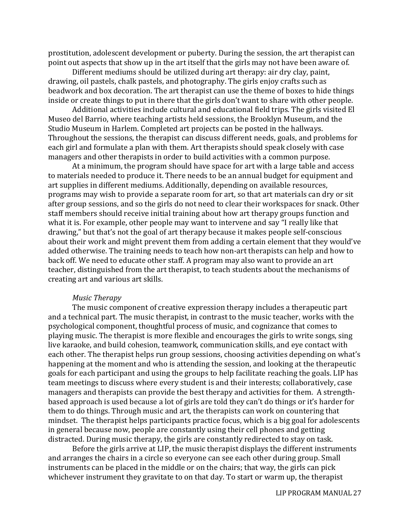prostitution, adolescent development or puberty. During the session, the art therapist can point out aspects that show up in the art itself that the girls may not have been aware of.

Different mediums should be utilized during art therapy: air dry clay, paint, drawing, oil pastels, chalk pastels, and photography. The girls enjoy crafts such as beadwork and box decoration. The art therapist can use the theme of boxes to hide things inside or create things to put in there that the girls don't want to share with other people.

Additional activities include cultural and educational field trips. The girls visited El Museo del Barrio, where teaching artists held sessions, the Brooklyn Museum, and the Studio Museum in Harlem. Completed art projects can be posted in the hallways. Throughout the sessions, the therapist can discuss different needs, goals, and problems for each girl and formulate a plan with them. Art therapists should speak closely with case managers and other therapists in order to build activities with a common purpose.

At a minimum, the program should have space for art with a large table and access to materials needed to produce it. There needs to be an annual budget for equipment and art supplies in different mediums. Additionally, depending on available resources, programs may wish to provide a separate room for art, so that art materials can dry or sit after group sessions, and so the girls do not need to clear their workspaces for snack. Other staff members should receive initial training about how art therapy groups function and what it is. For example, other people may want to intervene and say "I really like that drawing," but that's not the goal of art therapy because it makes people self-conscious about their work and might prevent them from adding a certain element that they would've added otherwise. The training needs to teach how non-art therapists can help and how to back off. We need to educate other staff. A program may also want to provide an art teacher, distinguished from the art therapist, to teach students about the mechanisms of creating art and various art skills.

#### *Music Therapy*

The music component of creative expression therapy includes a therapeutic part and a technical part. The music therapist, in contrast to the music teacher, works with the psychological component, thoughtful process of music, and cognizance that comes to playing music. The therapist is more flexible and encourages the girls to write songs, sing live karaoke, and build cohesion, teamwork, communication skills, and eye contact with each other. The therapist helps run group sessions, choosing activities depending on what's happening at the moment and who is attending the session, and looking at the therapeutic goals for each participant and using the groups to help facilitate reaching the goals. LIP has team meetings to discuss where every student is and their interests; collaboratively, case managers and therapists can provide the best therapy and activities for them. A strengthbased approach is used because a lot of girls are told they can't do things or it's harder for them to do things. Through music and art, the therapists can work on countering that mindset. The therapist helps participants practice focus, which is a big goal for adolescents in general because now, people are constantly using their cell phones and getting distracted. During music therapy, the girls are constantly redirected to stay on task.

Before the girls arrive at LIP, the music therapist displays the different instruments and arranges the chairs in a circle so everyone can see each other during group. Small instruments can be placed in the middle or on the chairs; that way, the girls can pick whichever instrument they gravitate to on that day. To start or warm up, the therapist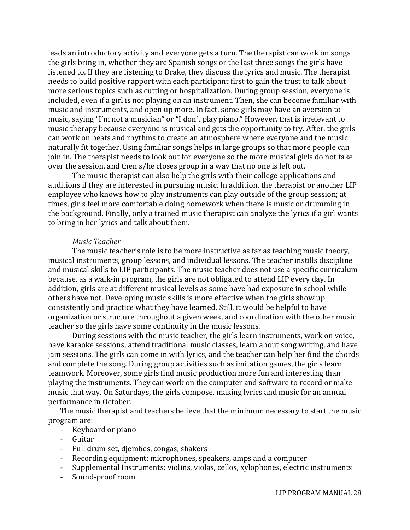leads an introductory activity and everyone gets a turn. The therapist can work on songs the girls bring in, whether they are Spanish songs or the last three songs the girls have listened to. If they are listening to Drake, they discuss the lyrics and music. The therapist needs to build positive rapport with each participant first to gain the trust to talk about more serious topics such as cutting or hospitalization. During group session, everyone is included, even if a girl is not playing on an instrument. Then, she can become familiar with music and instruments, and open up more. In fact, some girls may have an aversion to music, saying "I'm not a musician" or "I don't play piano." However, that is irrelevant to music therapy because everyone is musical and gets the opportunity to try. After, the girls can work on beats and rhythms to create an atmosphere where everyone and the music naturally fit together. Using familiar songs helps in large groups so that more people can join in. The therapist needs to look out for everyone so the more musical girls do not take over the session, and then s/he closes group in a way that no one is left out.

The music therapist can also help the girls with their college applications and auditions if they are interested in pursuing music. In addition, the therapist or another LIP employee who knows how to play instruments can play outside of the group session; at times, girls feel more comfortable doing homework when there is music or drumming in the background. Finally, only a trained music therapist can analyze the lyrics if a girl wants to bring in her lyrics and talk about them.

#### *Music Teacher*

The music teacher's role is to be more instructive as far as teaching music theory, musical instruments, group lessons, and individual lessons. The teacher instills discipline and musical skills to LIP participants. The music teacher does not use a specific curriculum because, as a walk-in program, the girls are not obligated to attend LIP every day. In addition, girls are at different musical levels as some have had exposure in school while others have not. Developing music skills is more effective when the girls show up consistently and practice what they have learned. Still, it would be helpful to have organization or structure throughout a given week, and coordination with the other music teacher so the girls have some continuity in the music lessons.

During sessions with the music teacher, the girls learn instruments, work on voice, have karaoke sessions, attend traditional music classes, learn about song writing, and have jam sessions. The girls can come in with lyrics, and the teacher can help her find the chords and complete the song. During group activities such as imitation games, the girls learn teamwork. Moreover, some girls find music production more fun and interesting than playing the instruments. They can work on the computer and software to record or make music that way. On Saturdays, the girls compose, making lyrics and music for an annual performance in October.

The music therapist and teachers believe that the minimum necessary to start the music program are:

- Keyboard or piano
- **Guitar**
- Full drum set, djembes, congas, shakers
- Recording equipment: microphones, speakers, amps and a computer
- Supplemental Instruments: violins, violas, cellos, xylophones, electric instruments
- Sound-proof room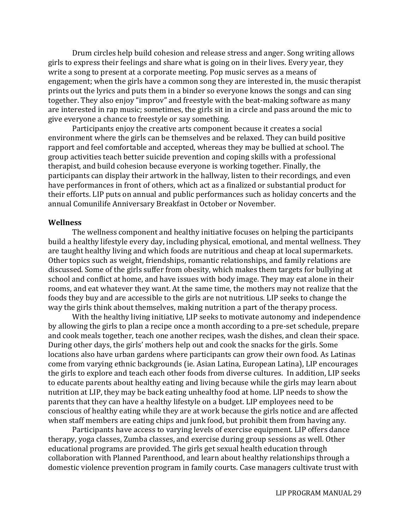Drum circles help build cohesion and release stress and anger. Song writing allows girls to express their feelings and share what is going on in their lives. Every year, they write a song to present at a corporate meeting. Pop music serves as a means of engagement; when the girls have a common song they are interested in, the music therapist prints out the lyrics and puts them in a binder so everyone knows the songs and can sing together. They also enjoy "improv" and freestyle with the beat-making software as many are interested in rap music; sometimes, the girls sit in a circle and pass around the mic to give everyone a chance to freestyle or say something.

Participants enjoy the creative arts component because it creates a social environment where the girls can be themselves and be relaxed. They can build positive rapport and feel comfortable and accepted, whereas they may be bullied at school. The group activities teach better suicide prevention and coping skills with a professional therapist, and build cohesion because everyone is working together. Finally, the participants can display their artwork in the hallway, listen to their recordings, and even have performances in front of others, which act as a finalized or substantial product for their efforts. LIP puts on annual and public performances such as holiday concerts and the annual Comunilife Anniversary Breakfast in October or November.

#### **Wellness**

The wellness component and healthy initiative focuses on helping the participants build a healthy lifestyle every day, including physical, emotional, and mental wellness. They are taught healthy living and which foods are nutritious and cheap at local supermarkets. Other topics such as weight, friendships, romantic relationships, and family relations are discussed. Some of the girls suffer from obesity, which makes them targets for bullying at school and conflict at home, and have issues with body image. They may eat alone in their rooms, and eat whatever they want. At the same time, the mothers may not realize that the foods they buy and are accessible to the girls are not nutritious. LIP seeks to change the way the girls think about themselves, making nutrition a part of the therapy process.

With the healthy living initiative, LIP seeks to motivate autonomy and independence by allowing the girls to plan a recipe once a month according to a pre-set schedule, prepare and cook meals together, teach one another recipes, wash the dishes, and clean their space. During other days, the girls' mothers help out and cook the snacks for the girls. Some locations also have urban gardens where participants can grow their own food. As Latinas come from varying ethnic backgrounds (ie. Asian Latina, European Latina), LIP encourages the girls to explore and teach each other foods from diverse cultures. In addition, LIP seeks to educate parents about healthy eating and living because while the girls may learn about nutrition at LIP, they may be back eating unhealthy food at home. LIP needs to show the parents that they can have a healthy lifestyle on a budget. LIP employees need to be conscious of healthy eating while they are at work because the girls notice and are affected when staff members are eating chips and junk food, but prohibit them from having any.

Participants have access to varying levels of exercise equipment. LIP offers dance therapy, yoga classes, Zumba classes, and exercise during group sessions as well. Other educational programs are provided. The girls get sexual health education through collaboration with Planned Parenthood, and learn about healthy relationships through a domestic violence prevention program in family courts. Case managers cultivate trust with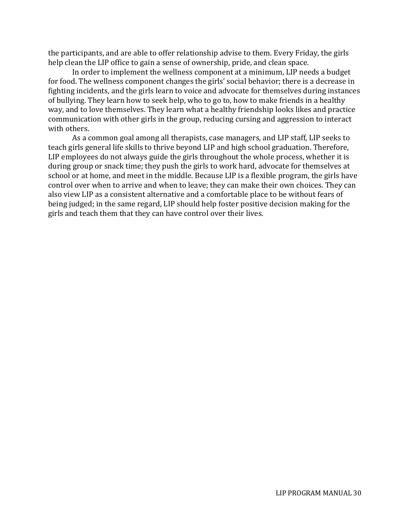the participants, and are able to offer relationship advise to them. Every Friday, the girls help clean the LIP office to gain a sense of ownership, pride, and clean space.

In order to implement the wellness component at a minimum, LIP needs a budget for food. The wellness component changes the girls' social behavior; there is a decrease in fighting incidents, and the girls learn to voice and advocate for themselves during instances of bullying. They learn how to seek help, who to go to, how to make friends in a healthy way, and to love themselves. They learn what a healthy friendship looks likes and practice communication with other girls in the group, reducing cursing and aggression to interact with others.

As a common goal among all therapists, case managers, and LIP staff, LIP seeks to teach girls general life skills to thrive beyond LIP and high school graduation. Therefore, LIP employees do not always guide the girls throughout the whole process, whether it is during group or snack time; they push the girls to work hard, advocate for themselves at school or at home, and meet in the middle. Because LIP is a flexible program, the girls have control over when to arrive and when to leave; they can make their own choices. They can also view LIP as a consistent alternative and a comfortable place to be without fears of being judged; in the same regard, LIP should help foster positive decision making for the girls and teach them that they can have control over their lives.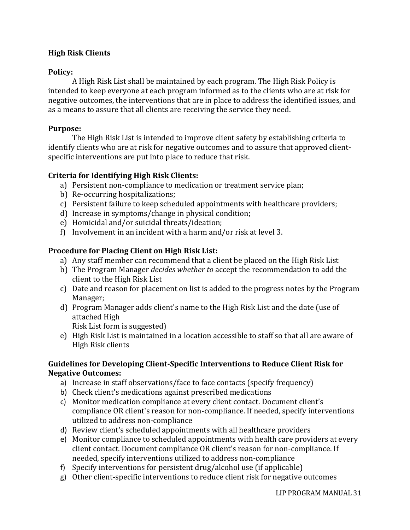#### **High Risk Clients**

#### **Policy:**

A High Risk List shall be maintained by each program. The High Risk Policy is intended to keep everyone at each program informed as to the clients who are at risk for negative outcomes, the interventions that are in place to address the identified issues, and as a means to assure that all clients are receiving the service they need.

#### **Purpose:**

The High Risk List is intended to improve client safety by establishing criteria to identify clients who are at risk for negative outcomes and to assure that approved clientspecific interventions are put into place to reduce that risk.

#### **Criteria for Identifying High Risk Clients:**

- a) Persistent non-compliance to medication or treatment service plan;
- b) Re-occurring hospitalizations;
- c) Persistent failure to keep scheduled appointments with healthcare providers;
- d) Increase in symptoms/change in physical condition;
- e) Homicidal and/or suicidal threats/ideation;
- f) Involvement in an incident with a harm and/or risk at level 3.

#### **Procedure for Placing Client on High Risk List:**

- a) Any staff member can recommend that a client be placed on the High Risk List
- b) The Program Manager *decides whether to* accept the recommendation to add the client to the High Risk List
- c) Date and reason for placement on list is added to the progress notes by the Program Manager;
- d) Program Manager adds client's name to the High Risk List and the date (use of attached High

Risk List form is suggested)

e) High Risk List is maintained in a location accessible to staff so that all are aware of High Risk clients

#### **Guidelines for Developing Client-Specific Interventions to Reduce Client Risk for Negative Outcomes:**

- a) Increase in staff observations/face to face contacts (specify frequency)
- b) Check client's medications against prescribed medications
- c) Monitor medication compliance at every client contact. Document client's compliance OR client's reason for non-compliance. If needed, specify interventions utilized to address non-compliance
- d) Review client's scheduled appointments with all healthcare providers
- e) Monitor compliance to scheduled appointments with health care providers at every client contact. Document compliance OR client's reason for non-compliance. If needed, specify interventions utilized to address non-compliance
- f) Specify interventions for persistent drug/alcohol use (if applicable)
- g) Other client-specific interventions to reduce client risk for negative outcomes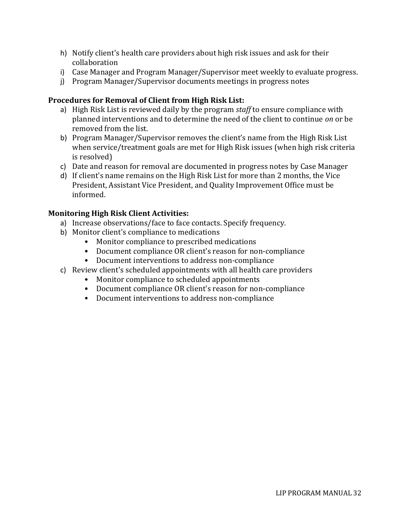- h) Notify client's health care providers about high risk issues and ask for their collaboration
- i) Case Manager and Program Manager/Supervisor meet weekly to evaluate progress.
- j) Program Manager/Supervisor documents meetings in progress notes

#### **Procedures for Removal of Client from High Risk List:**

- a) High Risk List is reviewed daily by the program *staff* to ensure compliance with planned interventions and to determine the need of the client to continue *on* or be removed from the list.
- b) Program Manager/Supervisor removes the client's name from the High Risk List when service/treatment goals are met for High Risk issues (when high risk criteria is resolved)
- c) Date and reason for removal are documented in progress notes by Case Manager
- d) If client's name remains on the High Risk List for more than 2 months, the Vice President, Assistant Vice President, and Quality Improvement Office must be informed.

#### **Monitoring High Risk Client Activities:**

- a) Increase observations/face to face contacts. Specify frequency.
- b) Monitor client's compliance to medications
	- Monitor compliance to prescribed medications
	- Document compliance OR client's reason for non-compliance
	- Document interventions to address non-compliance
- c) Review client's scheduled appointments with all health care providers
	- Monitor compliance to scheduled appointments
	- Document compliance OR client's reason for non-compliance
	- Document interventions to address non-compliance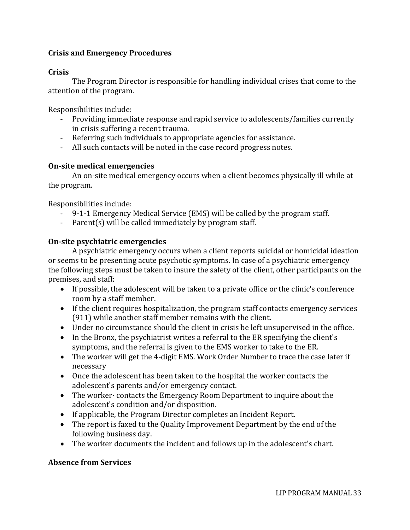#### **Crisis and Emergency Procedures**

#### **Crisis**

The Program Director is responsible for handling individual crises that come to the attention of the program.

Responsibilities include:

- Providing immediate response and rapid service to adolescents/families currently in crisis suffering a recent trauma.
- Referring such individuals to appropriate agencies for assistance.
- All such contacts will be noted in the case record progress notes.

#### **On-site medical emergencies**

An on-site medical emergency occurs when a client becomes physically ill while at the program.

Responsibilities include:

- 9-1-1 Emergency Medical Service (EMS) will be called by the program staff.
- Parent(s) will be called immediately by program staff.

#### **On-site psychiatric emergencies**

A psychiatric emergency occurs when a client reports suicidal or homicidal ideation or seems to be presenting acute psychotic symptoms. In case of a psychiatric emergency the following steps must be taken to insure the safety of the client, other participants on the premises, and staff:

- If possible, the adolescent will be taken to a private office or the clinic's conference room by a staff member.
- If the client requires hospitalization, the program staff contacts emergency services (911) while another staff member remains with the client.
- Under no circumstance should the client in crisis be left unsupervised in the office.
- In the Bronx, the psychiatrist writes a referral to the ER specifying the client's symptoms, and the referral is given to the EMS worker to take to the ER.
- The worker will get the 4-digit EMS. Work Order Number to trace the case later if necessary
- Once the adolescent has been taken to the hospital the worker contacts the adolescent's parents and/or emergency contact.
- The worker contacts the Emergency Room Department to inquire about the adolescent's condition and/or disposition.
- If applicable, the Program Director completes an Incident Report.
- The report is faxed to the Quality Improvement Department by the end of the following business day.
- The worker documents the incident and follows up in the adolescent's chart.

#### **Absence from Services**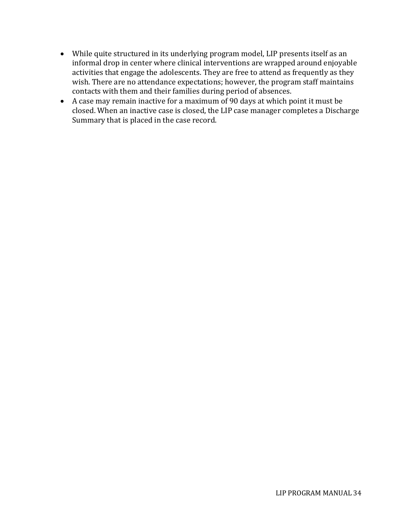- While quite structured in its underlying program model, LIP presents itself as an informal drop in center where clinical interventions are wrapped around enjoyable activities that engage the adolescents. They are free to attend as frequently as they wish. There are no attendance expectations; however, the program staff maintains contacts with them and their families during period of absences.
- A case may remain inactive for a maximum of 90 days at which point it must be closed. When an inactive case is closed, the LIP case manager completes a Discharge Summary that is placed in the case record.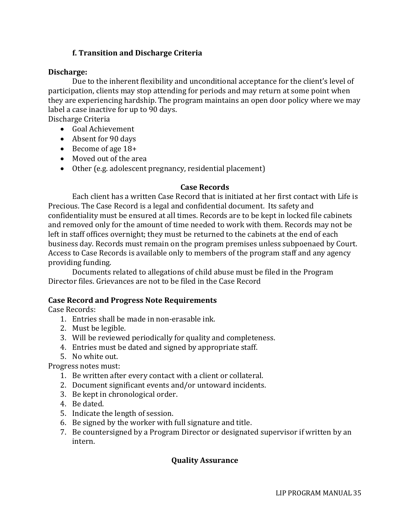#### **f. Transition and Discharge Criteria**

#### **Discharge:**

Due to the inherent flexibility and unconditional acceptance for the client's level of participation, clients may stop attending for periods and may return at some point when they are experiencing hardship. The program maintains an open door policy where we may label a case inactive for up to 90 days.

Discharge Criteria

- Goal Achievement
- Absent for 90 days
- Become of age 18+
- Moved out of the area
- Other (e.g. adolescent pregnancy, residential placement)

#### **Case Records**

Each client has a written Case Record that is initiated at her first contact with Life is Precious. The Case Record is a legal and confidential document. Its safety and confidentiality must be ensured at all times. Records are to be kept in locked file cabinets and removed only for the amount of time needed to work with them. Records may not be left in staff offices overnight; they must be returned to the cabinets at the end of each business day. Records must remain on the program premises unless subpoenaed by Court. Access to Case Records is available only to members of the program staff and any agency providing funding.

Documents related to allegations of child abuse must be filed in the Program Director files. Grievances are not to be filed in the Case Record

#### **Case Record and Progress Note Requirements**

Case Records:

- 1. Entries shall be made in non-erasable ink.
- 2. Must be legible.
- 3. Will be reviewed periodically for quality and completeness.
- 4. Entries must be dated and signed by appropriate staff.
- 5. No white out.

Progress notes must:

- 1. Be written after every contact with a client or collateral.
- 2. Document significant events and/or untoward incidents.
- 3. Be kept in chronological order.
- 4. Be dated.
- 5. Indicate the length of session.
- 6. Be signed by the worker with full signature and title.
- 7. Be countersigned by a Program Director or designated supervisor if written by an intern.

#### **Quality Assurance**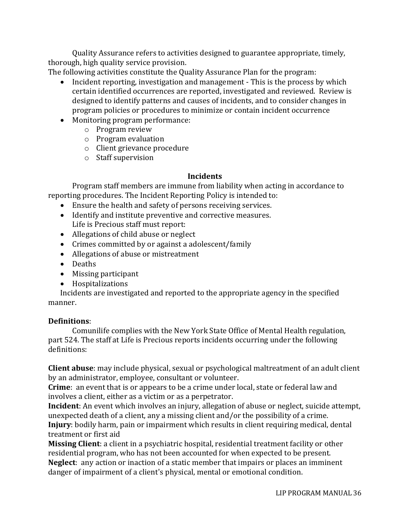Quality Assurance refers to activities designed to guarantee appropriate, timely, thorough, high quality service provision.

The following activities constitute the Quality Assurance Plan for the program:

- Incident reporting, investigation and management This is the process by which certain identified occurrences are reported, investigated and reviewed. Review is designed to identify patterns and causes of incidents, and to consider changes in program policies or procedures to minimize or contain incident occurrence
- Monitoring program performance:
	- o Program review
		- o Program evaluation
		- o Client grievance procedure
		- o Staff supervision

#### **Incidents**

Program staff members are immune from liability when acting in accordance to reporting procedures. The Incident Reporting Policy is intended to:

- Ensure the health and safety of persons receiving services.
- Identify and institute preventive and corrective measures. Life is Precious staff must report:
- Allegations of child abuse or neglect
- Crimes committed by or against a adolescent/family
- Allegations of abuse or mistreatment
- Deaths
- Missing participant
- Hospitalizations

Incidents are investigated and reported to the appropriate agency in the specified manner.

#### **Definitions**:

Comunilife complies with the New York State Office of Mental Health regulation, part 524. The staff at Life is Precious reports incidents occurring under the following definitions:

**Client abuse**: may include physical, sexual or psychological maltreatment of an adult client by an administrator, employee, consultant or volunteer.

**Crime**: an event that is or appears to be a crime under local, state or federal law and involves a client, either as a victim or as a perpetrator.

**Incident**: An event which involves an injury, allegation of abuse or neglect, suicide attempt, unexpected death of a client, any a missing client and/or the possibility of a crime. **Injury**: bodily harm, pain or impairment which results in client requiring medical, dental treatment or first aid

**Missing Client**: a client in a psychiatric hospital, residential treatment facility or other residential program, who has not been accounted for when expected to be present. **Neglect**: any action or inaction of a static member that impairs or places an imminent danger of impairment of a client's physical, mental or emotional condition.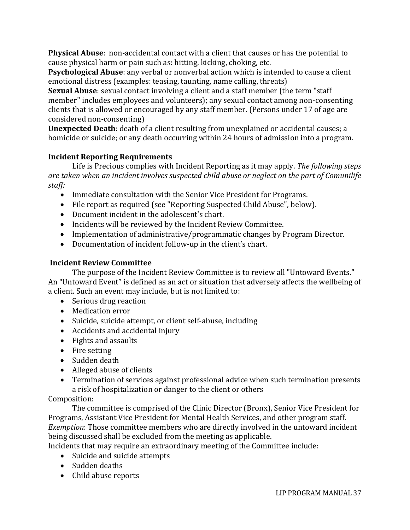**Physical Abuse**: non-accidental contact with a client that causes or has the potential to cause physical harm or pain such as: hitting, kicking, choking, etc.

**Psychological Abuse**: any verbal or nonverbal action which is intended to cause a client emotional distress (examples: teasing, taunting, name calling, threats)

**Sexual Abuse**: sexual contact involving a client and a staff member (the term "staff member" includes employees and volunteers); any sexual contact among non-consenting clients that is allowed or encouraged by any staff member. (Persons under 17 of age are considered non-consenting)

**Unexpected Death**: death of a client resulting from unexplained or accidental causes; a homicide or suicide; or any death occurring within 24 hours of admission into a program.

# **Incident Reporting Requirements**

Life is Precious complies with Incident Reporting as it may apply. *The following steps are taken when an incident involves suspected child abuse or neglect on the part of Comunilife staff:*

- Immediate consultation with the Senior Vice President for Programs.
- File report as required (see "Reporting Suspected Child Abuse", below).
- Document incident in the adolescent's chart.
- Incidents will be reviewed by the Incident Review Committee.
- Implementation of administrative/programmatic changes by Program Director.
- Documentation of incident follow-up in the client's chart.

# **Incident Review Committee**

The purpose of the Incident Review Committee is to review all "Untoward Events." An "Untoward Event" is defined as an act or situation that adversely affects the wellbeing of a client. Such an event may include, but is not limited to:

- Serious drug reaction
- Medication error
- Suicide, suicide attempt, or client self-abuse, including
- Accidents and accidental injury
- Fights and assaults
- Fire setting
- Sudden death
- Alleged abuse of clients
- Termination of services against professional advice when such termination presents a risk of hospitalization or danger to the client or others

# Composition:

The committee is comprised of the Clinic Director (Bronx), Senior Vice President for Programs, Assistant Vice President for Mental Health Services, and other program staff. *Exemption*: Those committee members who are directly involved in the untoward incident being discussed shall be excluded from the meeting as applicable.

Incidents that may require an extraordinary meeting of the Committee include:

- Suicide and suicide attempts
- Sudden deaths
- Child abuse reports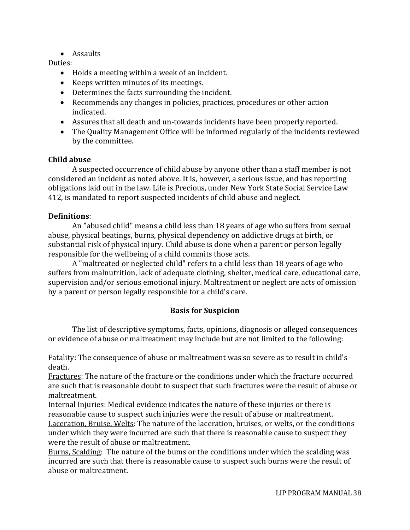• Assaults

#### Duties:

- Holds a meeting within a week of an incident.
- Keeps written minutes of its meetings.
- Determines the facts surrounding the incident.
- Recommends any changes in policies, practices, procedures or other action indicated.
- Assures that all death and un-towards incidents have been properly reported.
- The Quality Management Office will be informed regularly of the incidents reviewed by the committee.

## **Child abuse**

A suspected occurrence of child abuse by anyone other than a staff member is not considered an incident as noted above. It is, however, a serious issue, and has reporting obligations laid out in the law. Life is Precious, under New York State Social Service Law 412, is mandated to report suspected incidents of child abuse and neglect.

#### **Definitions**:

An "abused child" means a child less than 18 years of age who suffers from sexual abuse, physical beatings, burns, physical dependency on addictive drugs at birth, or substantial risk of physical injury. Child abuse is done when a parent or person legally responsible for the wellbeing of a child commits those acts.

A "maltreated or neglected child" refers to a child less than 18 years of age who suffers from malnutrition, lack of adequate clothing, shelter, medical care, educational care, supervision and/or serious emotional injury. Maltreatment or neglect are acts of omission by a parent or person legally responsible for a child's care.

## **Basis for Suspicion**

The list of descriptive symptoms, facts, opinions, diagnosis or alleged consequences or evidence of abuse or maltreatment may include but are not limited to the following:

Fatality: The consequence of abuse or maltreatment was so severe as to result in child's death.

Fractures: The nature of the fracture or the conditions under which the fracture occurred are such that is reasonable doubt to suspect that such fractures were the result of abuse or maltreatment.

Internal Injuries: Medical evidence indicates the nature of these injuries or there is reasonable cause to suspect such injuries were the result of abuse or maltreatment. Laceration, Bruise, Welts: The nature of the laceration, bruises, or welts, or the conditions under which they were incurred are such that there is reasonable cause to suspect they were the result of abuse or maltreatment.

Burns, Scalding: The nature of the bums or the conditions under which the scalding was incurred are such that there is reasonable cause to suspect such burns were the result of abuse or maltreatment.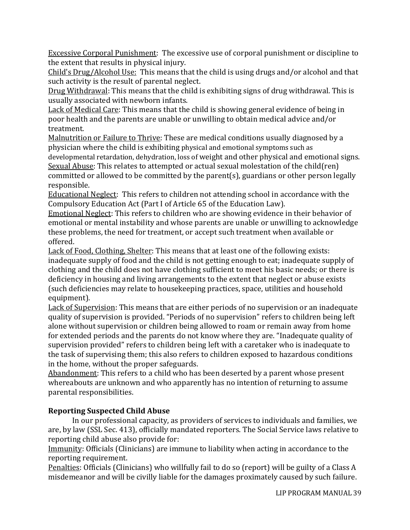Excessive Corporal Punishment: The excessive use of corporal punishment or discipline to the extent that results in physical injury.

Child's Drug/Alcohol Use: This means that the child is using drugs and/or alcohol and that such activity is the result of parental neglect.

Drug Withdrawal: This means that the child is exhibiting signs of drug withdrawal. This is usually associated with newborn infants.

Lack of Medical Care: This means that the child is showing general evidence of being in poor health and the parents are unable or unwilling to obtain medical advice and/or treatment.

Malnutrition or Failure to Thrive: These are medical conditions usually diagnosed by a physician where the child is exhibiting physical and emotional symptoms such as

developmental retardation, dehydration, loss of weight and other physical and emotional signs. Sexual Abuse: This relates to attempted or actual sexual molestation of the child(ren) committed or allowed to be committed by the parent(s), guardians or other person legally responsible.

Educational Neglect: This refers to children not attending school in accordance with the Compulsory Education Act (Part I of Article 65 of the Education Law).

Emotional Neglect: This refers to children who are showing evidence in their behavior of emotional or mental instability and whose parents are unable or unwilling to acknowledge these problems, the need for treatment, or accept such treatment when available or offered.

Lack of Food, Clothing, Shelter: This means that at least one of the following exists: inadequate supply of food and the child is not getting enough to eat; inadequate supply of clothing and the child does not have clothing sufficient to meet his basic needs; or there is deficiency in housing and living arrangements to the extent that neglect or abuse exists (such deficiencies may relate to housekeeping practices, space, utilities and household equipment).

Lack of Supervision: This means that are either periods of no supervision or an inadequate quality of supervision is provided. "Periods of no supervision" refers to children being left alone without supervision or children being allowed to roam or remain away from home for extended periods and the parents do not know where they are. "Inadequate quality of supervision provided" refers to children being left with a caretaker who is inadequate to the task of supervising them; this also refers to children exposed to hazardous conditions in the home, without the proper safeguards.

Abandonment: This refers to a child who has been deserted by a parent whose present whereabouts are unknown and who apparently has no intention of returning to assume parental responsibilities.

# **Reporting Suspected Child Abuse**

In our professional capacity, as providers of services to individuals and families, we are, by law (SSL Sec. 413), officially mandated reporters. The Social Service laws relative to reporting child abuse also provide for:

Immunity: Officials (Clinicians) are immune to liability when acting in accordance to the reporting requirement.

Penalties: Officials (Clinicians) who willfully fail to do so (report) will be guilty of a Class A misdemeanor and will be civilly liable for the damages proximately caused by such failure.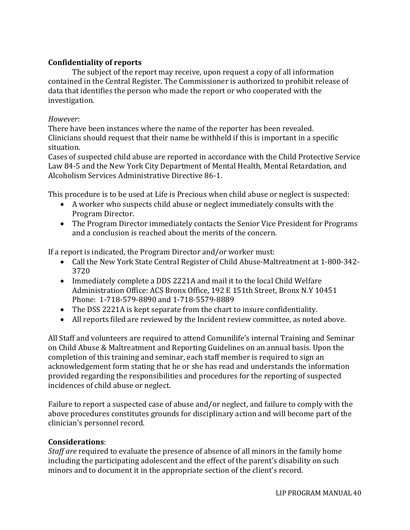## **Confidentiality of reports**

The subject of the report may receive, upon request a copy of all information contained in the Central Register. The Commissioner is authorized to prohibit release of data that identifies the person who made the report or who cooperated with the investigation.

#### *However*:

There have been instances where the name of the reporter has been revealed. Clinicians should request that their name be withheld if this is important in a specific situation.

Cases of suspected child abuse are reported in accordance with the Child Protective Service Law 84-5 and the New York City Department of Mental Health, Mental Retardation, and Alcoholism Services Administrative Directive 86-1.

This procedure is to be used at Life is Precious when child abuse or neglect is suspected:

- A worker who suspects child abuse or neglect immediately consults with the Program Director.
- The Program Director immediately contacts the Senior Vice President for Programs and a conclusion is reached about the merits of the concern.

If a report is indicated, the Program Director and/or worker must:

- Call the New York State Central Register of Child Abuse-Maltreatment at 1-800-342- 3720
- Immediately complete a DDS 2221A and mail it to the local Child Welfare Administration Office: ACS Bronx Office, 192 E 151th Street, Bronx N.Y 10451 Phone: 1-718-579-8890 and 1-718-5579-8889
- The DSS 2221A is kept separate from the chart to insure confidentiality.
- All reports filed are reviewed by the Incident review committee, as noted above.

All Staff and volunteers are required to attend Comunilife's internal Training and Seminar on Child Abuse & Maltreatment and Reporting Guidelines on an annual basis. Upon the completion of this training and seminar, each staff member is required to sign an acknowledgement form stating that he or she has read and understands the information provided regarding the responsibilities and procedures for the reporting of suspected incidences of child abuse or neglect.

Failure to report a suspected case of abuse and/or neglect, and failure to comply with the above procedures constitutes grounds for disciplinary action and will become part of the clinician's personnel record.

#### **Considerations**:

*Staff are* required to evaluate the presence of absence of all minors in the family home including the participating adolescent and the effect of the parent's disability on such minors and to document it in the appropriate section of the client's record.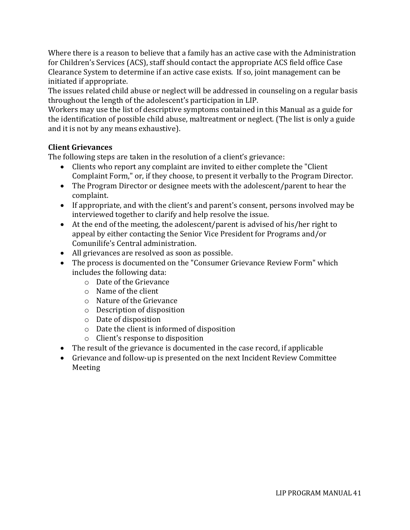Where there is a reason to believe that a family has an active case with the Administration for Children's Services (ACS), staff should contact the appropriate ACS field office Case Clearance System to determine if an active case exists. If so, joint management can be initiated if appropriate.

The issues related child abuse or neglect will be addressed in counseling on a regular basis throughout the length of the adolescent's participation in LIP.

Workers may use the list of descriptive symptoms contained in this Manual as a guide for the identification of possible child abuse, maltreatment or neglect. (The list is only a guide and it is not by any means exhaustive).

# **Client Grievances**

The following steps are taken in the resolution of a client's grievance:

- Clients who report any complaint are invited to either complete the "Client Complaint Form," or, if they choose, to present it verbally to the Program Director.
- The Program Director or designee meets with the adolescent/parent to hear the complaint.
- If appropriate, and with the client's and parent's consent, persons involved may be interviewed together to clarify and help resolve the issue.
- At the end of the meeting, the adolescent/parent is advised of his/her right to appeal by either contacting the Senior Vice President for Programs and/or Comunilife's Central administration.
- All grievances are resolved as soon as possible.
- The process is documented on the "Consumer Grievance Review Form" which includes the following data:
	- o Date of the Grievance
	- o Name of the client
	- o Nature of the Grievance
	- o Description of disposition
	- o Date of disposition
	- o Date the client is informed of disposition
	- o Client's response to disposition
- The result of the grievance is documented in the case record, if applicable
- Grievance and follow-up is presented on the next Incident Review Committee Meeting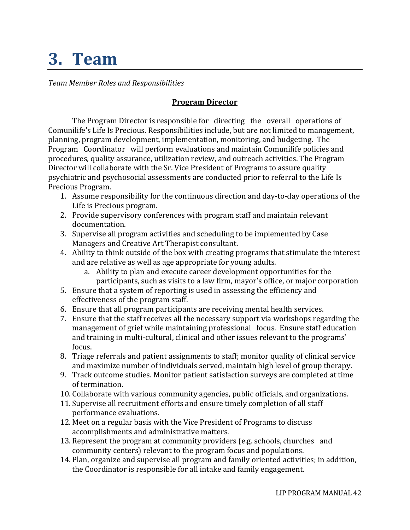# **3. Team**

*Team Member Roles and Responsibilities*

# **Program Director**

The Program Director is responsible for directing the overall operations of Comunilife's Life Is Precious. Responsibilities include, but are not limited to management, planning, program development, implementation, monitoring, and budgeting. The Program Coordinator will perform evaluations and maintain Comunilife policies and procedures, quality assurance, utilization review, and outreach activities. The Program Director will collaborate with the Sr. Vice President of Programs to assure quality psychiatric and psychosocial assessments are conducted prior to referral to the Life Is Precious Program.

- 1. Assume responsibility for the continuous direction and day-to-day operations of the Life is Precious program.
- 2. Provide supervisory conferences with program staff and maintain relevant documentation.
- 3. Supervise all program activities and scheduling to be implemented by Case Managers and Creative Art Therapist consultant.
- 4. Ability to think outside of the box with creating programs that stimulate the interest and are relative as well as age appropriate for young adults.
	- a. Ability to plan and execute career development opportunities for the participants, such as visits to a law firm, mayor's office, or major corporation
- 5. Ensure that a system of reporting is used in assessing the efficiency and effectiveness of the program staff.
- 6. Ensure that all program participants are receiving mental health services.
- 7. Ensure that the staff receives all the necessary support via workshops regarding the management of grief while maintaining professional focus. Ensure staff education and training in multi-cultural, clinical and other issues relevant to the programs' focus.
- 8. Triage referrals and patient assignments to staff; monitor quality of clinical service and maximize number of individuals served, maintain high level of group therapy.
- 9. Track outcome studies. Monitor patient satisfaction surveys are completed at time of termination.
- 10. Collaborate with various community agencies, public officials, and organizations.
- 11. Supervise all recruitment efforts and ensure timely completion of all staff performance evaluations.
- 12. Meet on a regular basis with the Vice President of Programs to discuss accomplishments and administrative matters.
- 13. Represent the program at community providers (e.g. schools, churches and community centers) relevant to the program focus and populations.
- 14. Plan, organize and supervise all program and family oriented activities; in addition, the Coordinator is responsible for all intake and family engagement.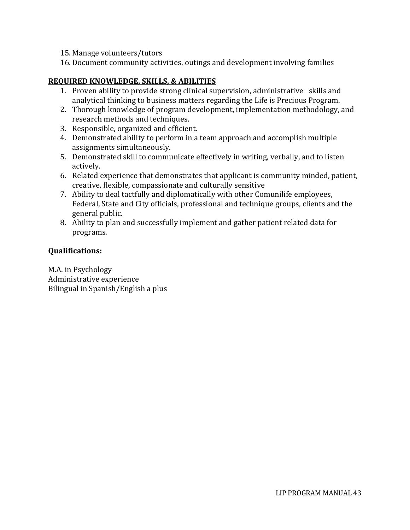- 15. Manage volunteers/tutors
- 16. Document community activities, outings and development involving families

## **REQUIRED KNOWLEDGE, SKILLS, & ABILITIES**

- 1. Proven ability to provide strong clinical supervision, administrative skills and analytical thinking to business matters regarding the Life is Precious Program.
- 2. Thorough knowledge of program development, implementation methodology, and research methods and techniques.
- 3. Responsible, organized and efficient.
- 4. Demonstrated ability to perform in a team approach and accomplish multiple assignments simultaneously.
- 5. Demonstrated skill to communicate effectively in writing, verbally, and to listen actively.
- 6. Related experience that demonstrates that applicant is community minded, patient, creative, flexible, compassionate and culturally sensitive
- 7. Ability to deal tactfully and diplomatically with other Comunilife employees, Federal, State and City officials, professional and technique groups, clients and the general public.
- 8. Ability to plan and successfully implement and gather patient related data for programs.

# **Qualifications:**

M.A. in Psychology Administrative experience Bilingual in Spanish/English a plus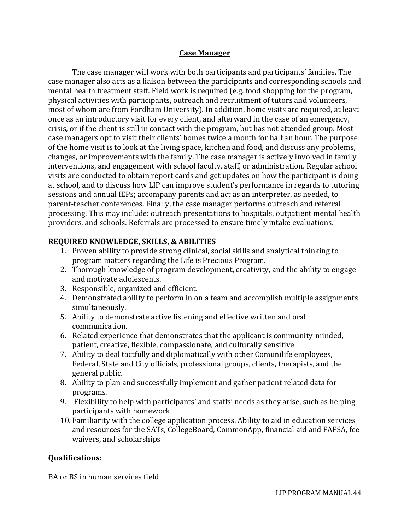#### **Case Manager**

The case manager will work with both participants and participants' families. The case manager also acts as a liaison between the participants and corresponding schools and mental health treatment staff. Field work is required (e.g. food shopping for the program, physical activities with participants, outreach and recruitment of tutors and volunteers, most of whom are from Fordham University). In addition, home visits are required, at least once as an introductory visit for every client, and afterward in the case of an emergency, crisis, or if the client is still in contact with the program, but has not attended group. Most case managers opt to visit their clients' homes twice a month for half an hour. The purpose of the home visit is to look at the living space, kitchen and food, and discuss any problems, changes, or improvements with the family. The case manager is actively involved in family interventions, and engagement with school faculty, staff, or administration. Regular school visits are conducted to obtain report cards and get updates on how the participant is doing at school, and to discuss how LIP can improve student's performance in regards to tutoring sessions and annual IEPs; accompany parents and act as an interpreter, as needed, to parent-teacher conferences. Finally, the case manager performs outreach and referral processing. This may include: outreach presentations to hospitals, outpatient mental health providers, and schools. Referrals are processed to ensure timely intake evaluations.

## **REQUIRED KNOWLEDGE, SKILLS, & ABILITIES**

- 1. Proven ability to provide strong clinical, social skills and analytical thinking to program matters regarding the Life is Precious Program.
- 2. Thorough knowledge of program development, creativity, and the ability to engage and motivate adolescents.
- 3. Responsible, organized and efficient.
- 4. Demonstrated ability to perform in on a team and accomplish multiple assignments simultaneously.
- 5. Ability to demonstrate active listening and effective written and oral communication.
- 6. Related experience that demonstrates that the applicant is community-minded, patient, creative, flexible, compassionate, and culturally sensitive
- 7. Ability to deal tactfully and diplomatically with other Comunilife employees, Federal, State and City officials, professional groups, clients, therapists, and the general public.
- 8. Ability to plan and successfully implement and gather patient related data for programs.
- 9. Flexibility to help with participants' and staffs' needs as they arise, such as helping participants with homework
- 10. Familiarity with the college application process. Ability to aid in education services and resources for the SATs, CollegeBoard, CommonApp, financial aid and FAFSA, fee waivers, and scholarships

## **Qualifications:**

BA or BS in human services field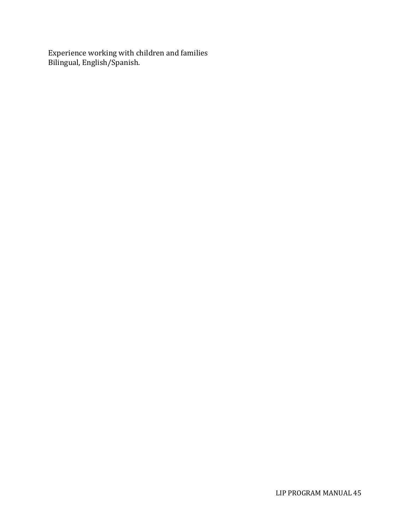Experience working with children and families Bilingual, English/Spanish.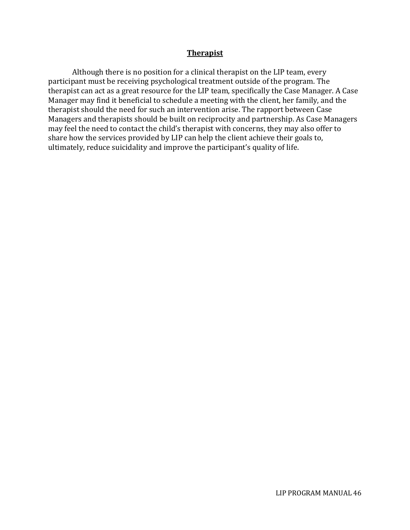#### **Therapist**

Although there is no position for a clinical therapist on the LIP team, every participant must be receiving psychological treatment outside of the program. The therapist can act as a great resource for the LIP team, specifically the Case Manager. A Case Manager may find it beneficial to schedule a meeting with the client, her family, and the therapist should the need for such an intervention arise. The rapport between Case Managers and therapists should be built on reciprocity and partnership. As Case Managers may feel the need to contact the child's therapist with concerns, they may also offer to share how the services provided by LIP can help the client achieve their goals to, ultimately, reduce suicidality and improve the participant's quality of life.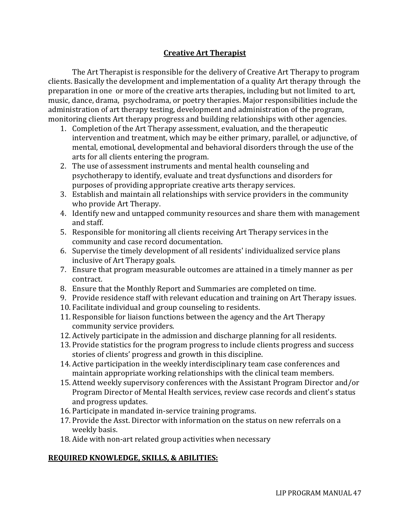# **Creative Art Therapist**

The Art Therapist is responsible for the delivery of Creative Art Therapy to program clients. Basically the development and implementation of a quality Art therapy through the preparation in one or more of the creative arts therapies, including but not limited to art, music, dance, drama, psychodrama, or poetry therapies. Major responsibilities include the administration of art therapy testing, development and administration of the program, monitoring clients Art therapy progress and building relationships with other agencies.

- 1. Completion of the Art Therapy assessment, evaluation, and the therapeutic intervention and treatment, which may be either primary, parallel, or adjunctive, of mental, emotional, developmental and behavioral disorders through the use of the arts for all clients entering the program.
- 2. The use of assessment instruments and mental health counseling and psychotherapy to identify, evaluate and treat dysfunctions and disorders for purposes of providing appropriate creative arts therapy services.
- 3. Establish and maintain all relationships with service providers in the community who provide Art Therapy.
- 4. Identify new and untapped community resources and share them with management and staff.
- 5. Responsible for monitoring all clients receiving Art Therapy services in the community and case record documentation.
- 6. Supervise the timely development of all residents' individualized service plans inclusive of Art Therapy goals.
- 7. Ensure that program measurable outcomes are attained in a timely manner as per contract.
- 8. Ensure that the Monthly Report and Summaries are completed on time.
- 9. Provide residence staff with relevant education and training on Art Therapy issues.
- 10. Facilitate individual and group counseling to residents.
- 11. Responsible for liaison functions between the agency and the Art Therapy community service providers.
- 12. Actively participate in the admission and discharge planning for all residents.
- 13. Provide statistics for the program progress to include clients progress and success stories of clients' progress and growth in this discipline.
- 14. Active participation in the weekly interdisciplinary team case conferences and maintain appropriate working relationships with the clinical team members.
- 15. Attend weekly supervisory conferences with the Assistant Program Director and/or Program Director of Mental Health services, review case records and client's status and progress updates.
- 16. Participate in mandated in-service training programs.
- 17. Provide the Asst. Director with information on the status on new referrals on a weekly basis.
- 18. Aide with non-art related group activities when necessary

## **REQUIRED KNOWLEDGE, SKILLS, & ABILITIES:**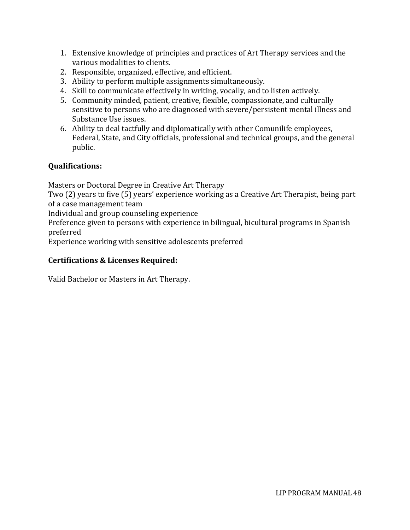- 1. Extensive knowledge of principles and practices of Art Therapy services and the various modalities to clients.
- 2. Responsible, organized, effective, and efficient.
- 3. Ability to perform multiple assignments simultaneously.
- 4. Skill to communicate effectively in writing, vocally, and to listen actively.
- 5. Community minded, patient, creative, flexible, compassionate, and culturally sensitive to persons who are diagnosed with severe/persistent mental illness and Substance Use issues.
- 6. Ability to deal tactfully and diplomatically with other Comunilife employees, Federal, State, and City officials, professional and technical groups, and the general public.

# **Qualifications:**

Masters or Doctoral Degree in Creative Art Therapy

Two (2) years to five (5) years' experience working as a Creative Art Therapist, being part of a case management team

Individual and group counseling experience

Preference given to persons with experience in bilingual, bicultural programs in Spanish preferred

Experience working with sensitive adolescents preferred

# **Certifications & Licenses Required:**

Valid Bachelor or Masters in Art Therapy.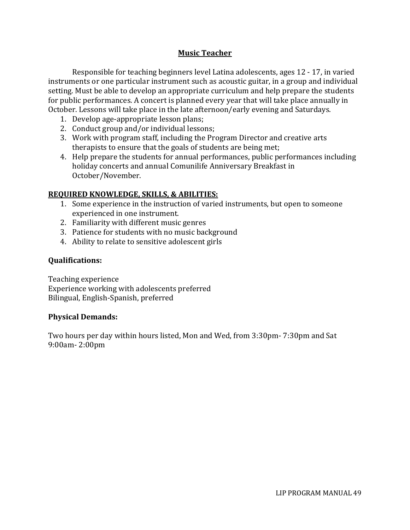# **Music Teacher**

Responsible for teaching beginners level Latina adolescents, ages 12 - 17, in varied instruments or one particular instrument such as acoustic guitar, in a group and individual setting. Must be able to develop an appropriate curriculum and help prepare the students for public performances. A concert is planned every year that will take place annually in October. Lessons will take place in the late afternoon/early evening and Saturdays.

- 1. Develop age-appropriate lesson plans;
- 2. Conduct group and/or individual lessons;
- 3. Work with program staff, including the Program Director and creative arts therapists to ensure that the goals of students are being met;
- 4. Help prepare the students for annual performances, public performances including holiday concerts and annual Comunilife Anniversary Breakfast in October/November.

## **REQUIRED KNOWLEDGE, SKILLS, & ABILITIES:**

- 1. Some experience in the instruction of varied instruments, but open to someone experienced in one instrument.
- 2. Familiarity with different music genres
- 3. Patience for students with no music background
- 4. Ability to relate to sensitive adolescent girls

## **Qualifications:**

Teaching experience Experience working with adolescents preferred Bilingual, English-Spanish, preferred

## **Physical Demands:**

Two hours per day within hours listed, Mon and Wed, from 3:30pm- 7:30pm and Sat 9:00am- 2:00pm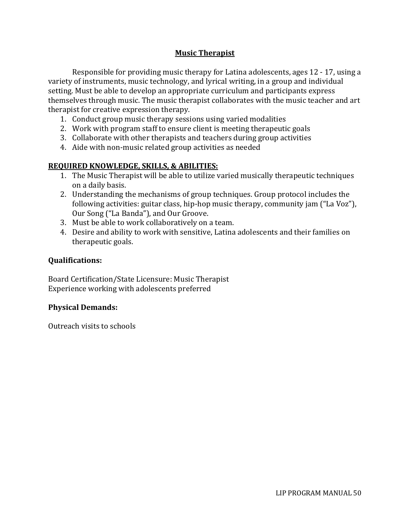# **Music Therapist**

Responsible for providing music therapy for Latina adolescents, ages 12 - 17, using a variety of instruments, music technology, and lyrical writing, in a group and individual setting. Must be able to develop an appropriate curriculum and participants express themselves through music. The music therapist collaborates with the music teacher and art therapist for creative expression therapy.

- 1. Conduct group music therapy sessions using varied modalities
- 2. Work with program staff to ensure client is meeting therapeutic goals
- 3. Collaborate with other therapists and teachers during group activities
- 4. Aide with non-music related group activities as needed

## **REQUIRED KNOWLEDGE, SKILLS, & ABILITIES:**

- 1. The Music Therapist will be able to utilize varied musically therapeutic techniques on a daily basis.
- 2. Understanding the mechanisms of group techniques. Group protocol includes the following activities: guitar class, hip-hop music therapy, community jam ("La Voz"), Our Song ("La Banda"), and Our Groove.
- 3. Must be able to work collaboratively on a team.
- 4. Desire and ability to work with sensitive, Latina adolescents and their families on therapeutic goals.

## **Qualifications:**

Board Certification/State Licensure: Music Therapist Experience working with adolescents preferred

## **Physical Demands:**

Outreach visits to schools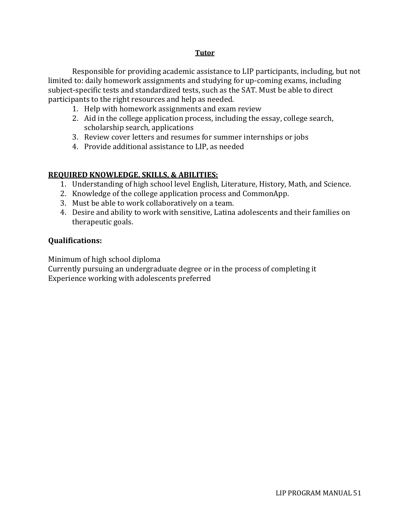#### **Tutor**

Responsible for providing academic assistance to LIP participants, including, but not limited to: daily homework assignments and studying for up-coming exams, including subject-specific tests and standardized tests, such as the SAT. Must be able to direct participants to the right resources and help as needed.

- 1. Help with homework assignments and exam review
- 2. Aid in the college application process, including the essay, college search, scholarship search, applications
- 3. Review cover letters and resumes for summer internships or jobs
- 4. Provide additional assistance to LIP, as needed

#### **REQUIRED KNOWLEDGE, SKILLS, & ABILITIES:**

- 1. Understanding of high school level English, Literature, History, Math, and Science.
- 2. Knowledge of the college application process and CommonApp.
- 3. Must be able to work collaboratively on a team.
- 4. Desire and ability to work with sensitive, Latina adolescents and their families on therapeutic goals.

#### **Qualifications:**

Minimum of high school diploma

Currently pursuing an undergraduate degree or in the process of completing it Experience working with adolescents preferred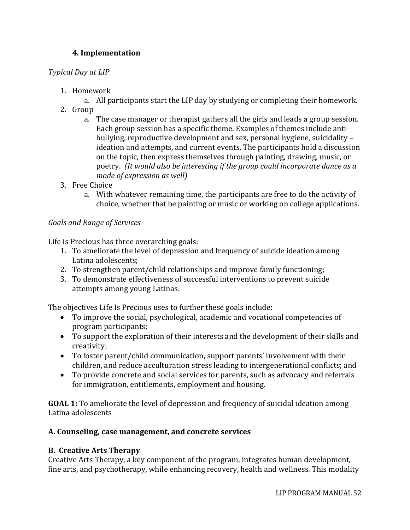# **4. Implementation**

## *Typical Day at LIP*

- 1. Homework
	- a. All participants start the LIP day by studying or completing their homework.
- 2. Group
	- a. The case manager or therapist gathers all the girls and leads a group session. Each group session has a specific theme. Examples of themes include antibullying, reproductive development and sex, personal hygiene, suicidality – ideation and attempts, and current events. The participants hold a discussion on the topic, then express themselves through painting, drawing, music, or poetry. *(It would also be interesting if the group could incorporate dance as a mode of expression as well)*
- 3. Free Choice
	- a. With whatever remaining time, the participants are free to do the activity of choice, whether that be painting or music or working on college applications.

## *Goals and Range of Services*

Life is Precious has three overarching goals:

- 1. To ameliorate the level of depression and frequency of suicide ideation among Latina adolescents;
- 2. To strengthen parent/child relationships and improve family functioning;
- 3. To demonstrate effectiveness of successful interventions to prevent suicide attempts among young Latinas.

The objectives Life Is Precious uses to further these goals include:

- To improve the social, psychological, academic and vocational competencies of program participants;
- To support the exploration of their interests and the development of their skills and creativity;
- To foster parent/child communication, support parents' involvement with their children, and reduce acculturation stress leading to intergenerational conflicts; and
- To provide concrete and social services for parents, such as advocacy and referrals for immigration, entitlements, employment and housing.

**GOAL 1:** To ameliorate the level of depression and frequency of suicidal ideation among Latina adolescents

## **A. Counseling, case management, and concrete services**

## **B. Creative Arts Therapy**

Creative Arts Therapy, a key component of the program, integrates human development, fine arts, and psychotherapy, while enhancing recovery, health and wellness. This modality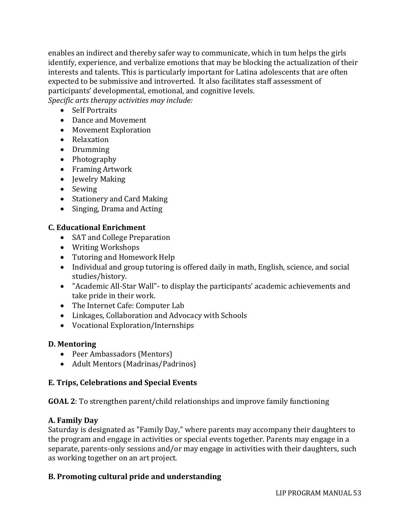enables an indirect and thereby safer way to communicate, which in tum helps the girls identify, experience, and verbalize emotions that may be blocking the actualization of their interests and talents. This is particularly important for Latina adolescents that are often expected to be submissive and introverted. It also facilitates staff assessment of participants' developmental, emotional, and cognitive levels.

*Specific arts therapy activities may include:*

- Self Portraits
- Dance and Movement
- Movement Exploration
- Relaxation
- Drumming
- Photography
- Framing Artwork
- Jewelry Making
- Sewing
- Stationery and Card Making
- Singing, Drama and Acting

# **C. Educational Enrichment**

- SAT and College Preparation
- Writing Workshops
- Tutoring and Homework Help
- Individual and group tutoring is offered daily in math, English, science, and social studies/history.
- "Academic All-Star Wall"- to display the participants' academic achievements and take pride in their work.
- The Internet Cafe: Computer Lab
- Linkages, Collaboration and Advocacy with Schools
- Vocational Exploration/Internships

# **D. Mentoring**

- Peer Ambassadors (Mentors)
- Adult Mentors (Madrinas/Padrinos)

# **E. Trips, Celebrations and Special Events**

**GOAL 2**: To strengthen parent/child relationships and improve family functioning

# **A. Family Day**

Saturday is designated as "Family Day," where parents may accompany their daughters to the program and engage in activities or special events together. Parents may engage in a separate, parents-only sessions and/or may engage in activities with their daughters, such as working together on an art project.

# **B. Promoting cultural pride and understanding**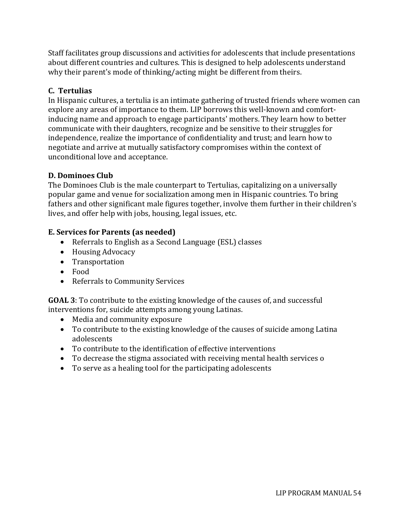Staff facilitates group discussions and activities for adolescents that include presentations about different countries and cultures. This is designed to help adolescents understand why their parent's mode of thinking/acting might be different from theirs.

# **C. Tertulias**

In Hispanic cultures, a tertulia is an intimate gathering of trusted friends where women can explore any areas of importance to them. LIP borrows this well-known and comfortinducing name and approach to engage participants' mothers. They learn how to better communicate with their daughters, recognize and be sensitive to their struggles for independence, realize the importance of confidentiality and trust; and learn how to negotiate and arrive at mutually satisfactory compromises within the context of unconditional love and acceptance.

# **D. Dominoes Club**

The Dominoes Club is the male counterpart to Tertulias, capitalizing on a universally popular game and venue for socialization among men in Hispanic countries. To bring fathers and other significant male figures together, involve them further in their children's lives, and offer help with jobs, housing, legal issues, etc.

## **E. Services for Parents (as needed)**

- Referrals to English as a Second Language (ESL) classes
- Housing Advocacy
- Transportation
- Food
- Referrals to Community Services

**GOAL 3**: To contribute to the existing knowledge of the causes of, and successful interventions for, suicide attempts among young Latinas.

- Media and community exposure
- To contribute to the existing knowledge of the causes of suicide among Latina adolescents
- To contribute to the identification of effective interventions
- To decrease the stigma associated with receiving mental health services o
- To serve as a healing tool for the participating adolescents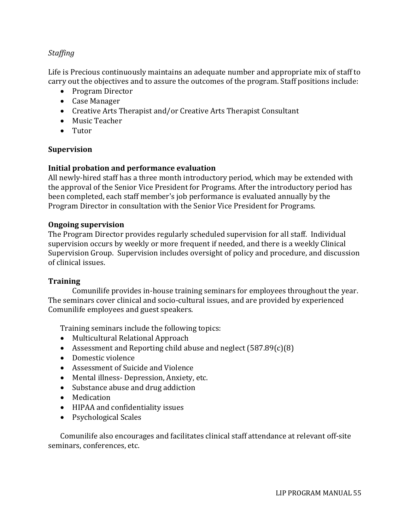## *Staffing*

Life is Precious continuously maintains an adequate number and appropriate mix of staff to carry out the objectives and to assure the outcomes of the program. Staff positions include:

- Program Director
- Case Manager
- Creative Arts Therapist and/or Creative Arts Therapist Consultant
- Music Teacher
- Tutor

#### **Supervision**

#### **Initial probation and performance evaluation**

All newly-hired staff has a three month introductory period, which may be extended with the approval of the Senior Vice President for Programs. After the introductory period has been completed, each staff member's job performance is evaluated annually by the Program Director in consultation with the Senior Vice President for Programs.

#### **Ongoing supervision**

The Program Director provides regularly scheduled supervision for all staff. Individual supervision occurs by weekly or more frequent if needed, and there is a weekly Clinical Supervision Group. Supervision includes oversight of policy and procedure, and discussion of clinical issues.

#### **Training**

Comunilife provides in-house training seminars for employees throughout the year. The seminars cover clinical and socio-cultural issues, and are provided by experienced Comunilife employees and guest speakers.

Training seminars include the following topics:

- Multicultural Relational Approach
- Assessment and Reporting child abuse and neglect  $(587.89(c)(8))$
- Domestic violence
- Assessment of Suicide and Violence
- Mental illness-Depression, Anxiety, etc.
- Substance abuse and drug addiction
- Medication
- HIPAA and confidentiality issues
- Psychological Scales

Comunilife also encourages and facilitates clinical staff attendance at relevant off-site seminars, conferences, etc.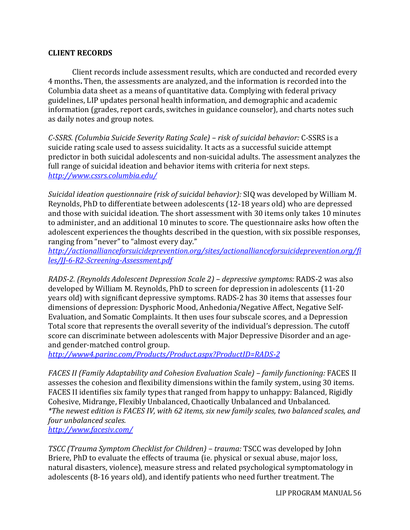#### **CLIENT RECORDS**

Client records include assessment results, which are conducted and recorded every 4 months**.** Then, the assessments are analyzed, and the information is recorded into the Columbia data sheet as a means of quantitative data. Complying with federal privacy guidelines, LIP updates personal health information, and demographic and academic information (grades, report cards, switches in guidance counselor), and charts notes such as daily notes and group notes.

*C-SSRS. (Columbia Suicide Severity Rating Scale) – risk of suicidal behavior:* C-SSRS is a suicide rating scale used to assess suicidality. It acts as a successful suicide attempt predictor in both suicidal adolescents and non-suicidal adults. The assessment analyzes the full range of suicidal ideation and behavior items with criteria for next steps. *<http://www.cssrs.columbia.edu/>*

*Suicidal ideation questionnaire (risk of suicidal behavior):* SIQ was developed by William M. Reynolds, PhD to differentiate between adolescents (12-18 years old) who are depressed and those with suicidal ideation. The short assessment with 30 items only takes 10 minutes to administer, and an additional 10 minutes to score. The questionnaire asks how often the adolescent experiences the thoughts described in the question, with six possible responses, ranging from "never" to "almost every day."

*[http://actionallianceforsuicideprevention.org/sites/actionallianceforsuicideprevention.org/fi](http://actionallianceforsuicideprevention.org/sites/actionallianceforsuicideprevention.org/files/JJ-6-R2-Screening-Assessment.pdf) [les/JJ-6-R2-Screening-Assessment.pdf](http://actionallianceforsuicideprevention.org/sites/actionallianceforsuicideprevention.org/files/JJ-6-R2-Screening-Assessment.pdf)*

*RADS-2. (Reynolds Adolescent Depression Scale 2) – depressive symptoms:* RADS-2 was also developed by William M. Reynolds, PhD to screen for depression in adolescents (11-20 years old) with significant depressive symptoms. RADS-2 has 30 items that assesses four dimensions of depression: Dysphoric Mood, Anhedonia/Negative Affect, Negative Self-Evaluation, and Somatic Complaints. It then uses four subscale scores, and a Depression Total score that represents the overall severity of the individual's depression. The cutoff score can discriminate between adolescents with Major Depressive Disorder and an ageand gender-matched control group.

*<http://www4.parinc.com/Products/Product.aspx?ProductID=RADS-2>*

*FACES II (Family Adaptability and Cohesion Evaluation Scale) – family functioning:* FACES II assesses the cohesion and flexibility dimensions within the family system, using 30 items. FACES II identifies six family types that ranged from happy to unhappy: Balanced, Rigidly Cohesive, Midrange, Flexibly Unbalanced, Chaotically Unbalanced and Unbalanced. *\*The newest edition is FACES IV, with 62 items, six new family scales, two balanced scales, and four unbalanced scales. <http://www.facesiv.com/>*

*TSCC (Trauma Symptom Checklist for Children) – trauma:* TSCC was developed by John Briere, PhD to evaluate the effects of trauma (ie. physical or sexual abuse, major loss, natural disasters, violence), measure stress and related psychological symptomatology in adolescents (8-16 years old), and identify patients who need further treatment. The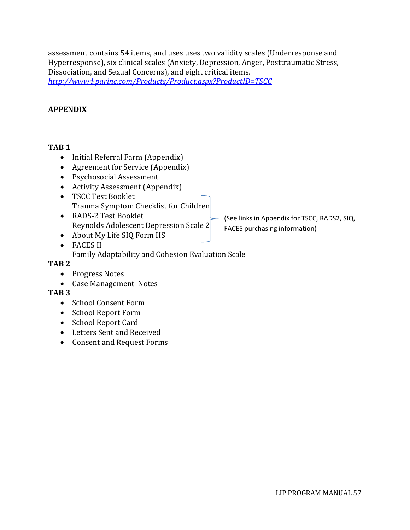assessment contains 54 items, and uses uses two validity scales (Underresponse and Hyperresponse), six clinical scales (Anxiety, Depression, Anger, Posttraumatic Stress, Dissociation, and Sexual Concerns), and eight critical items. *<http://www4.parinc.com/Products/Product.aspx?ProductID=TSCC>*

#### **APPENDIX**

#### **TAB 1**

- Initial Referral Farm (Appendix)
- Agreement for Service (Appendix)
- Psychosocial Assessment
- Activity Assessment (Appendix)
- TSCC Test Booklet Trauma Symptom Checklist for Children
- RADS-2 Test Booklet Reynolds Adolescent Depression Scale 2
- About My Life SIQ Form HS

## • FACES II

Family Adaptability and Cohesion Evaluation Scale

#### **TAB 2**

- Progress Notes
- Case Management Notes

## **TAB 3**

- School Consent Form
- School Report Form
- School Report Card
- Letters Sent and Received
- Consent and Request Forms

(See links in Appendix for TSCC, RADS2, SIQ, FACES purchasing information)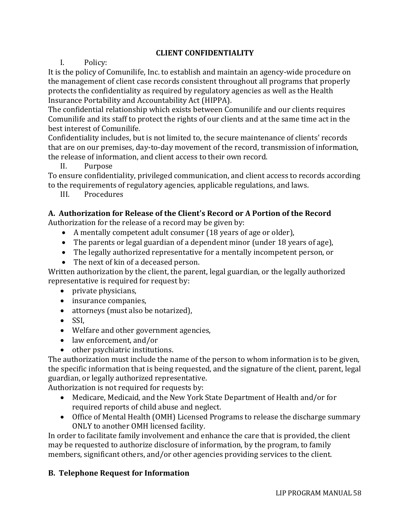# **CLIENT CONFIDENTIALITY**

## I. Policy:

It is the policy of Comunilife, Inc. to establish and maintain an agency-wide procedure on the management of client case records consistent throughout all programs that properly protects the confidentiality as required by regulatory agencies as well as the Health Insurance Portability and Accountability Act (HIPPA).

The confidential relationship which exists between Comunilife and our clients requires Comunilife and its staff to protect the rights of our clients and at the same time act in the best interest of Comunilife.

Confidentiality includes, but is not limited to, the secure maintenance of clients' records that are on our premises, day-to-day movement of the record, transmission of information, the release of information, and client access to their own record.

II. Purpose

To ensure confidentiality, privileged communication, and client access to records according to the requirements of regulatory agencies, applicable regulations, and laws.

III. Procedures

## **A. Authorization for Release of the Client's Record or A Portion of the Record**

Authorization for the release of a record may be given by:

- A mentally competent adult consumer (18 years of age or older),
- The parents or legal guardian of a dependent minor (under 18 years of age),
- The legally authorized representative for a mentally incompetent person, or
- The next of kin of a deceased person.

Written authorization by the client, the parent, legal guardian, or the legally authorized representative is required for request by:

- private physicians,
- insurance companies,
- attorneys (must also be notarized),
- SSI,
- Welfare and other government agencies,
- law enforcement, and/or
- other psychiatric institutions.

The authorization must include the name of the person to whom information is to be given, the specific information that is being requested, and the signature of the client, parent, legal guardian, or legally authorized representative.

Authorization is not required for requests by:

- Medicare, Medicaid, and the New York State Department of Health and/or for required reports of child abuse and neglect.
- Office of Mental Health (OMH) Licensed Programs to release the discharge summary ONLY to another OMH licensed facility.

In order to facilitate family involvement and enhance the care that is provided, the client may be requested to authorize disclosure of information, by the program, to family members, significant others, and/or other agencies providing services to the client.

# **B. Telephone Request for Information**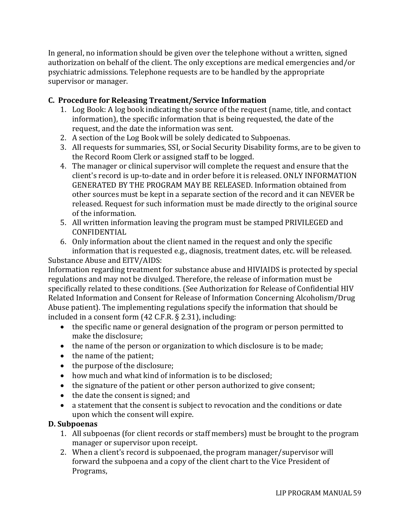In general, no information should be given over the telephone without a written, signed authorization on behalf of the client. The only exceptions are medical emergencies and/or psychiatric admissions. Telephone requests are to be handled by the appropriate supervisor or manager.

# **C. Procedure for Releasing Treatment/Service Information**

- 1. Log Book: A log book indicating the source of the request (name, title, and contact information), the specific information that is being requested, the date of the request, and the date the information was sent.
- 2. A section of the Log Book will be solely dedicated to Subpoenas.
- 3. All requests for summaries, SSI, or Social Security Disability forms, are to be given to the Record Room Clerk or assigned staff to be logged.
- 4. The manager or clinical supervisor will complete the request and ensure that the client's record is up-to-date and in order before it is released. ONLY INFORMATION GENERATED BY THE PROGRAM MAY BE RELEASED. Information obtained from other sources must be kept in a separate section of the record and it can NEVER be released. Request for such information must be made directly to the original source of the information.
- 5. All written information leaving the program must be stamped PRIVILEGED and CONFIDENTIAL
- 6. Only information about the client named in the request and only the specific information that is requested e.g., diagnosis, treatment dates, etc. will be released. Substance Abuse and EITV/AIDS:

Information regarding treatment for substance abuse and HIVIAIDS is protected by special regulations and may not be divulged. Therefore, the release of information must be specifically related to these conditions. (See Authorization for Release of Confidential HIV Related Information and Consent for Release of Information Concerning Alcoholism/Drug Abuse patient). The implementing regulations specify the information that should be included in a consent form (42 C.F.R. § 2.31), including:

- the specific name or general designation of the program or person permitted to make the disclosure;
- the name of the person or organization to which disclosure is to be made;
- the name of the patient;
- the purpose of the disclosure;
- how much and what kind of information is to be disclosed;
- the signature of the patient or other person authorized to give consent;
- the date the consent is signed; and
- a statement that the consent is subject to revocation and the conditions or date upon which the consent will expire.

# **D. Subpoenas**

- 1. All subpoenas (for client records or staff members) must be brought to the program manager or supervisor upon receipt.
- 2. When a client's record is subpoenaed, the program manager/supervisor will forward the subpoena and a copy of the client chart to the Vice President of Programs,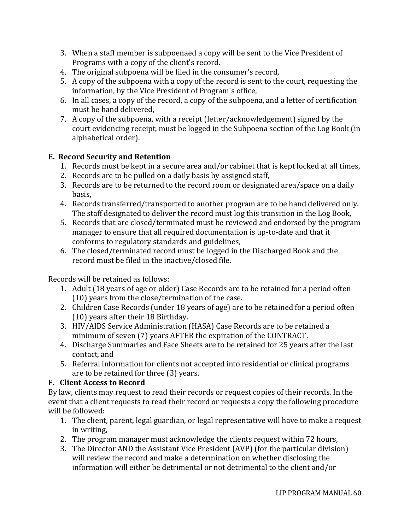- 3. When a staff member is subpoenaed a copy will be sent to the Vice President of Programs with a copy of the client's record.
- 4. The original subpoena will be filed in the consumer's record,
- 5. A copy of the subpoena with a copy of the record is sent to the court, requesting the information, by the Vice President of Program's office,
- 6. In all cases, a copy of the record, a copy of the subpoena, and a letter of certification must be hand delivered,
- 7. A copy of the subpoena, with a receipt (letter/acknowledgement) signed by the court evidencing receipt, must be logged in the Subpoena section of the Log Book (in alphabetical order).

# **E. Record Security and Retention**

- 1. Records must be kept in a secure area and/or cabinet that is kept locked at all times,
- 2. Records are to be pulled on a daily basis by assigned staff,
- 3. Records are to be returned to the record room or designated area/space on a daily basis,
- 4. Records transferred/transported to another program are to be hand delivered only. The staff designated to deliver the record must log this transition in the Log Book,
- 5. Records that are closed/terminated must be reviewed and endorsed by the program manager to ensure that all required documentation is up-to-date and that it conforms to regulatory standards and guidelines,
- 6. The closed/terminated record must be logged in the Discharged Book and the record must be filed in the inactive/closed file.

Records will be retained as follows:

- 1. Adult (18 years of age or older) Case Records are to be retained for a period often (10) years from the close/termination of the case.
- 2. Children Case Records (under 18 years of age) are to be retained for a period often (10) years after their 18 Birthday.
- 3. HIV/AIDS Service Administration (HASA) Case Records are to be retained a minimum of seven (7) years AFTER the expiration of the CONTRACT.
- 4. Discharge Summaries and Face Sheets are to be retained for 25 years after the last contact, and
- 5. Referral information for clients not accepted into residential or clinical programs are to be retained for three (3) years.

# **F. Client Access to Record**

By law, clients may request to read their records or request copies of their records. In the event that a client requests to read their record or requests a copy the following procedure will be followed:

- 1. The client, parent, legal guardian, or legal representative will have to make a request in writing,
- 2. The program manager must acknowledge the clients request within 72 hours,
- 3. The Director AND the Assistant Vice President (AVP) (for the particular division) will review the record and make a determination on whether disclosing the information will either be detrimental or not detrimental to the client and/or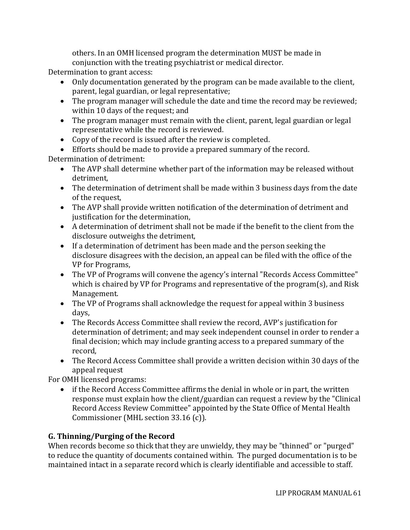others. In an OMH licensed program the determination MUST be made in conjunction with the treating psychiatrist or medical director.

Determination to grant access:

- Only documentation generated by the program can be made available to the client, parent, legal guardian, or legal representative;
- The program manager will schedule the date and time the record may be reviewed; within 10 days of the request; and
- The program manager must remain with the client, parent, legal guardian or legal representative while the record is reviewed.
- Copy of the record is issued after the review is completed.
- Efforts should be made to provide a prepared summary of the record.

Determination of detriment:

- The AVP shall determine whether part of the information may be released without detriment,
- The determination of detriment shall be made within 3 business days from the date of the request,
- The AVP shall provide written notification of the determination of detriment and justification for the determination,
- A determination of detriment shall not be made if the benefit to the client from the disclosure outweighs the detriment,
- If a determination of detriment has been made and the person seeking the disclosure disagrees with the decision, an appeal can be filed with the office of the VP for Programs,
- The VP of Programs will convene the agency's internal "Records Access Committee" which is chaired by VP for Programs and representative of the program(s), and Risk Management.
- The VP of Programs shall acknowledge the request for appeal within 3 business days,
- The Records Access Committee shall review the record, AVP's justification for determination of detriment; and may seek independent counsel in order to render a final decision; which may include granting access to a prepared summary of the record,
- The Record Access Committee shall provide a written decision within 30 days of the appeal request

For OMH licensed programs:

• if the Record Access Committee affirms the denial in whole or in part, the written response must explain how the client/guardian can request a review by the "Clinical Record Access Review Committee" appointed by the State Office of Mental Health Commissioner (MHL section 33.16 (c)).

# **G. Thinning/Purging of the Record**

When records become so thick that they are unwieldy, they may be "thinned" or "purged" to reduce the quantity of documents contained within. The purged documentation is to be maintained intact in a separate record which is clearly identifiable and accessible to staff.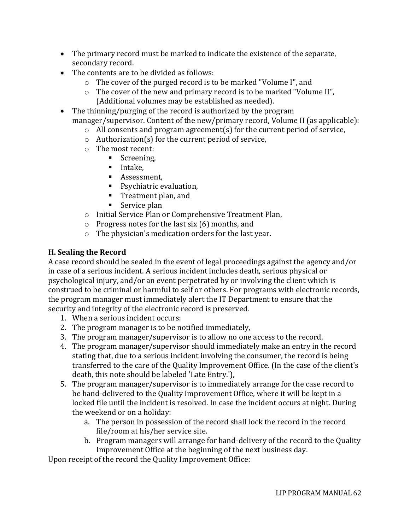- The primary record must be marked to indicate the existence of the separate, secondary record.
- The contents are to be divided as follows:
	- o The cover of the purged record is to be marked "Volume I", and
	- o The cover of the new and primary record is to be marked "Volume II", (Additional volumes may be established as needed).
- The thinning/purging of the record is authorized by the program manager/supervisor. Content of the new/primary record, Volume II (as applicable):
	- o All consents and program agreement(s) for the current period of service,
	- o Authorization(s) for the current period of service,
	- o The most recent:
		- Screening,
		- Intake.
		- **■** Assessment,
		- Psychiatric evaluation,
		- Treatment plan, and
		- $\blacksquare$  Service plan
	- o Initial Service Plan or Comprehensive Treatment Plan,
	- o Progress notes for the last six (6) months, and
	- o The physician's medication orders for the last year.

# **H. Sealing the Record**

A case record should be sealed in the event of legal proceedings against the agency and/or in case of a serious incident. A serious incident includes death, serious physical or psychological injury, and/or an event perpetrated by or involving the client which is construed to be criminal or harmful to self or others. For programs with electronic records, the program manager must immediately alert the IT Department to ensure that the security and integrity of the electronic record is preserved.

- 1. When a serious incident occurs:
- 2. The program manager is to be notified immediately,
- 3. The program manager/supervisor is to allow no one access to the record.
- 4. The program manager/supervisor should immediately make an entry in the record stating that, due to a serious incident involving the consumer, the record is being transferred to the care of the Quality Improvement Office. (In the case of the client's death, this note should be labeled 'Late Entry.'),
- 5. The program manager/supervisor is to immediately arrange for the case record to be hand-delivered to the Quality Improvement Office, where it will be kept in a locked file until the incident is resolved. In case the incident occurs at night. During the weekend or on a holiday:
	- a. The person in possession of the record shall lock the record in the record file/room at his/her service site.
	- b. Program managers will arrange for hand-delivery of the record to the Quality Improvement Office at the beginning of the next business day.

Upon receipt of the record the Quality Improvement Office: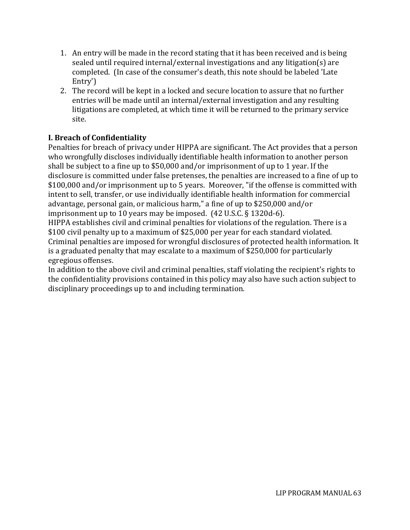- 1. An entry will be made in the record stating that it has been received and is being sealed until required internal/external investigations and any litigation(s) are completed. (In case of the consumer's death, this note should be labeled 'Late Entry')
- 2. The record will be kept in a locked and secure location to assure that no further entries will be made until an internal/external investigation and any resulting litigations are completed, at which time it will be returned to the primary service site.

# **I. Breach of Confidentiality**

Penalties for breach of privacy under HIPPA are significant. The Act provides that a person who wrongfully discloses individually identifiable health information to another person shall be subject to a fine up to \$50,000 and/or imprisonment of up to 1 year. If the disclosure is committed under false pretenses, the penalties are increased to a fine of up to \$100,000 and/or imprisonment up to 5 years. Moreover, "if the offense is committed with intent to sell, transfer, or use individually identifiable health information for commercial advantage, personal gain, or malicious harm," a fine of up to \$250,000 and/or imprisonment up to 10 years may be imposed. (42 U.S.C. § 1320d-6).

HIPPA establishes civil and criminal penalties for violations of the regulation. There is a \$100 civil penalty up to a maximum of \$25,000 per year for each standard violated. Criminal penalties are imposed for wrongful disclosures of protected health information. It is a graduated penalty that may escalate to a maximum of \$250,000 for particularly egregious offenses.

In addition to the above civil and criminal penalties, staff violating the recipient's rights to the confidentiality provisions contained in this policy may also have such action subject to disciplinary proceedings up to and including termination.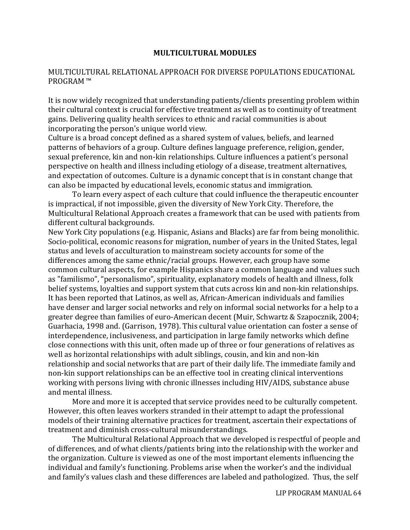#### **MULTICULTURAL MODULES**

## MULTICULTURAL RELATIONAL APPROACH FOR DIVERSE POPULATIONS EDUCATIONAL PROGRAM ™

It is now widely recognized that understanding patients/clients presenting problem within their cultural context is crucial for effective treatment as well as to continuity of treatment gains. Delivering quality health services to ethnic and racial communities is about incorporating the person's unique world view.

Culture is a broad concept defined as a shared system of values, beliefs, and learned patterns of behaviors of a group. Culture defines language preference, religion, gender, sexual preference, kin and non-kin relationships. Culture influences a patient's personal perspective on health and illness including etiology of a disease, treatment alternatives, and expectation of outcomes. Culture is a dynamic concept that is in constant change that can also be impacted by educational levels, economic status and immigration.

To learn every aspect of each culture that could influence the therapeutic encounter is impractical, if not impossible, given the diversity of New York City. Therefore, the Multicultural Relational Approach creates a framework that can be used with patients from different cultural backgrounds.

New York City populations (e.g. Hispanic, Asians and Blacks) are far from being monolithic. Socio-political, economic reasons for migration, number of years in the United States, legal status and levels of acculturation to mainstream society accounts for some of the differences among the same ethnic/racial groups. However, each group have some common cultural aspects, for example Hispanics share a common language and values such as "familismo", "personalismo", spirituality, explanatory models of health and illness, folk belief systems, loyalties and support system that cuts across kin and non-kin relationships. It has been reported that Latinos, as well as, African-American individuals and families have denser and larger social networks and rely on informal social networks for a help to a greater degree than families of euro-American decent (Muir, Schwartz & Szapocznik, 2004; Guarhacia, 1998 and. (Garrison, 1978). This cultural value orientation can foster a sense of interdependence, inclusiveness, and participation in large family networks which define close connections with this unit, often made up of three or four generations of relatives as well as horizontal relationships with adult siblings, cousin, and kin and non-kin relationship and social networks that are part of their daily life. The immediate family and non-kin support relationships can be an effective tool in creating clinical interventions working with persons living with chronic illnesses including HIV/AIDS, substance abuse and mental illness.

More and more it is accepted that service provides need to be culturally competent. However, this often leaves workers stranded in their attempt to adapt the professional models of their training alternative practices for treatment, ascertain their expectations of treatment and diminish cross-cultural misunderstandings.

The Multicultural Relational Approach that we developed is respectful of people and of differences, and of what clients/patients bring into the relationship with the worker and the organization. Culture is viewed as one of the most important elements influencing the individual and family's functioning. Problems arise when the worker's and the individual and family's values clash and these differences are labeled and pathologized. Thus, the self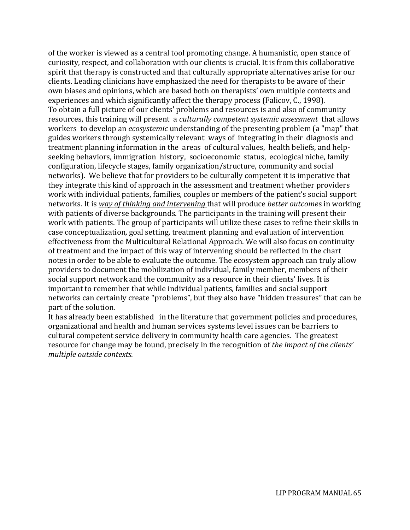of the worker is viewed as a central tool promoting change. A humanistic, open stance of curiosity, respect, and collaboration with our clients is crucial. It is from this collaborative spirit that therapy is constructed and that culturally appropriate alternatives arise for our clients. Leading clinicians have emphasized the need for therapists to be aware of their own biases and opinions, which are based both on therapists' own multiple contexts and experiences and which significantly affect the therapy process (Falicov, C., 1998). To obtain a full picture of our clients' problems and resources is and also of community resources, this training will present a *culturally competent systemic assessment* that allows workers to develop an *ecosystemic* understanding of the presenting problem (a "map" that guides workers through systemically relevant ways of integrating in their diagnosis and treatment planning information in the areas of cultural values, health beliefs, and helpseeking behaviors, immigration history, socioeconomic status, ecological niche, family configuration, lifecycle stages, family organization/structure, community and social networks). We believe that for providers to be culturally competent it is imperative that they integrate this kind of approach in the assessment and treatment whether providers work with individual patients, families, couples or members of the patient's social support networks. It is *way of thinking and intervening* that will produce *better outcome*s in working with patients of diverse backgrounds. The participants in the training will present their work with patients. The group of participants will utilize these cases to refine their skills in case conceptualization, goal setting, treatment planning and evaluation of intervention effectiveness from the Multicultural Relational Approach. We will also focus on continuity of treatment and the impact of this way of intervening should be reflected in the chart notes in order to be able to evaluate the outcome. The ecosystem approach can truly allow providers to document the mobilization of individual, family member, members of their social support network and the community as a resource in their clients' lives. It is important to remember that while individual patients, families and social support networks can certainly create "problems", but they also have "hidden treasures" that can be part of the solution.

It has already been established in the literature that government policies and procedures, organizational and health and human services systems level issues can be barriers to cultural competent service delivery in community health care agencies. The greatest resource for change may be found, precisely in the recognition of *the impact of the clients' multiple outside contexts.*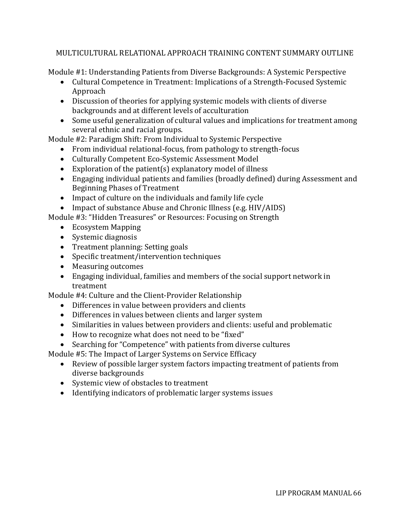## MULTICULTURAL RELATIONAL APPROACH TRAINING CONTENT SUMMARY OUTLINE

Module #1: Understanding Patients from Diverse Backgrounds: A Systemic Perspective

- Cultural Competence in Treatment: Implications of a Strength-Focused Systemic Approach
- Discussion of theories for applying systemic models with clients of diverse backgrounds and at different levels of acculturation
- Some useful generalization of cultural values and implications for treatment among several ethnic and racial groups.

Module #2: Paradigm Shift: From Individual to Systemic Perspective

- From individual relational-focus, from pathology to strength-focus
- Culturally Competent Eco-Systemic Assessment Model
- Exploration of the patient(s) explanatory model of illness
- Engaging individual patients and families (broadly defined) during Assessment and Beginning Phases of Treatment
- Impact of culture on the individuals and family life cycle
- Impact of substance Abuse and Chronic Illness (e.g. HIV/AIDS)

Module #3: "Hidden Treasures" or Resources: Focusing on Strength

- Ecosystem Mapping
- Systemic diagnosis
- Treatment planning: Setting goals
- Specific treatment/intervention techniques
- Measuring outcomes
- Engaging individual, families and members of the social support network in treatment

Module #4: Culture and the Client-Provider Relationship

- Differences in value between providers and clients
- Differences in values between clients and larger system
- Similarities in values between providers and clients: useful and problematic
- How to recognize what does not need to be "fixed"
- Searching for "Competence" with patients from diverse cultures

Module #5: The Impact of Larger Systems on Service Efficacy

- Review of possible larger system factors impacting treatment of patients from diverse backgrounds
- Systemic view of obstacles to treatment
- Identifying indicators of problematic larger systems issues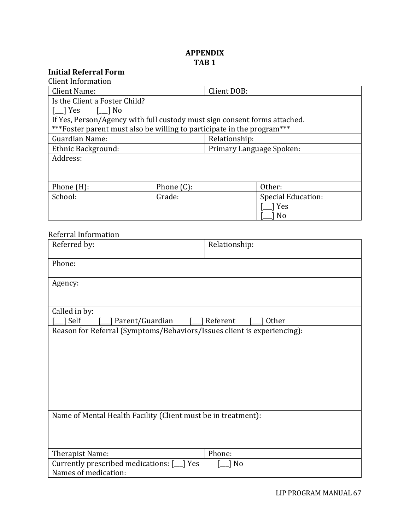# **APPENDIX TAB 1**

# **Initial Referral Form**

| <b>Client Information</b>                                                              |               |               |                          |  |
|----------------------------------------------------------------------------------------|---------------|---------------|--------------------------|--|
| Client Name:                                                                           |               | Client DOB:   |                          |  |
| Is the Client a Foster Child?                                                          |               |               |                          |  |
| $\begin{bmatrix} \square \end{bmatrix}$ Yes $\begin{bmatrix} \square \end{bmatrix}$ No |               |               |                          |  |
| If Yes, Person/Agency with full custody must sign consent forms attached.              |               |               |                          |  |
| *** Foster parent must also be willing to participate in the program***                |               |               |                          |  |
| Guardian Name:                                                                         |               | Relationship: |                          |  |
| Ethnic Background:                                                                     |               |               | Primary Language Spoken: |  |
| Address:                                                                               |               |               |                          |  |
|                                                                                        |               |               |                          |  |
|                                                                                        |               |               |                          |  |
| Phone $(H)$ :                                                                          | Phone $(C)$ : |               | Other:                   |  |
| School:                                                                                | Grade:        |               | Special Education:       |  |
|                                                                                        |               |               | Yes                      |  |
|                                                                                        |               |               | N <sub>0</sub>           |  |

# Referral Information

| Referred by:                                                            | Relationship:              |
|-------------------------------------------------------------------------|----------------------------|
| Phone:                                                                  |                            |
| Agency:                                                                 |                            |
|                                                                         |                            |
| Called in by:                                                           |                            |
| Self<br>Parent/Guardian                                                 | ] Referent<br><b>Other</b> |
| Reason for Referral (Symptoms/Behaviors/Issues client is experiencing): |                            |
|                                                                         |                            |
|                                                                         |                            |
|                                                                         |                            |
|                                                                         |                            |
|                                                                         |                            |
|                                                                         |                            |
|                                                                         |                            |
|                                                                         |                            |
|                                                                         |                            |
| Name of Mental Health Facility (Client must be in treatment):           |                            |
|                                                                         |                            |
|                                                                         |                            |
|                                                                         |                            |
| Therapist Name:                                                         | Phone:                     |
| Currently prescribed medications: [10] Yes                              | ] No                       |
| Names of medication:                                                    |                            |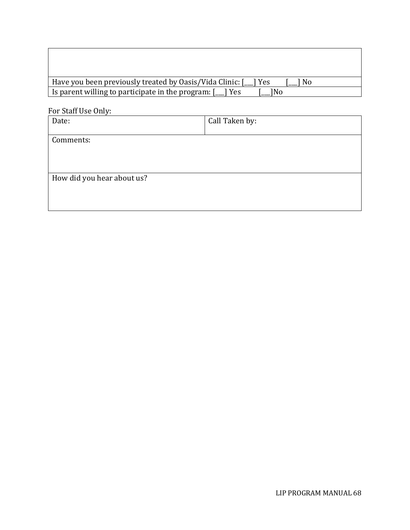| Have you been previously treated by Oasis/Vida Clinic: [<br>No.<br>I Yes |
|--------------------------------------------------------------------------|
| I is parent willing to participate in the program: $[$<br>1No<br>I Yes   |

For Staff Use Only:

| Date:                      | Call Taken by: |
|----------------------------|----------------|
| Comments:                  |                |
|                            |                |
|                            |                |
| How did you hear about us? |                |
|                            |                |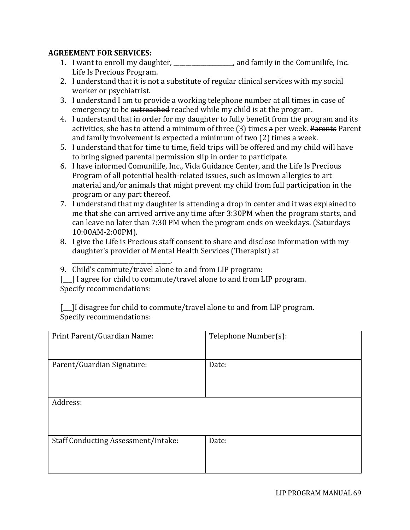## **AGREEMENT FOR SERVICES:**

- 1. I want to enroll my daughter, \_\_\_\_\_\_\_\_\_\_\_\_\_\_\_\_\_\_\_\_, and family in the Comunilife, Inc. Life Is Precious Program.
- 2. I understand that it is not a substitute of regular clinical services with my social worker or psychiatrist.
- 3. I understand I am to provide a working telephone number at all times in case of emergency to be outreached reached while my child is at the program.
- 4. I understand that in order for my daughter to fully benefit from the program and its activities, she has to attend a minimum of three (3) times a per week. Parents Parent and family involvement is expected a minimum of two (2) times a week.
- 5. I understand that for time to time, field trips will be offered and my child will have to bring signed parental permission slip in order to participate.
- 6. I have informed Comunilife, Inc., Vida Guidance Center, and the Life Is Precious Program of all potential health-related issues, such as known allergies to art material and*/*or animals that might prevent my child from full participation in the program or any part thereof.
- 7. I understand that my daughter is attending a drop in center and it was explained to me that she can arrived arrive any time after 3:30PM when the program starts, and can leave no later than 7:30 PM when the program ends on weekdays. (Saturdays 10:00AM-2:00PM).
- 8. I give the Life is Precious staff consent to share and disclose information with my daughter's provider of Mental Health Services (Therapist) at
- 9. Child's commute/travel alone to and from LIP program:

\_\_\_\_\_\_\_\_\_\_\_\_\_\_\_\_\_\_\_\_\_\_\_\_\_\_\_\_\_\_\_\_\_.

[11] I agree for child to commute/travel alone to and from LIP program. Specify recommendations:

[I disagree for child to commute/travel alone to and from LIP program. Specify recommendations:

| Print Parent/Guardian Name:                | Telephone Number(s): |
|--------------------------------------------|----------------------|
|                                            |                      |
|                                            |                      |
|                                            |                      |
| Parent/Guardian Signature:                 | Date:                |
|                                            |                      |
|                                            |                      |
|                                            |                      |
|                                            |                      |
|                                            |                      |
| Address:                                   |                      |
|                                            |                      |
|                                            |                      |
|                                            |                      |
|                                            |                      |
|                                            |                      |
| <b>Staff Conducting Assessment/Intake:</b> | Date:                |
|                                            |                      |
|                                            |                      |
|                                            |                      |
|                                            |                      |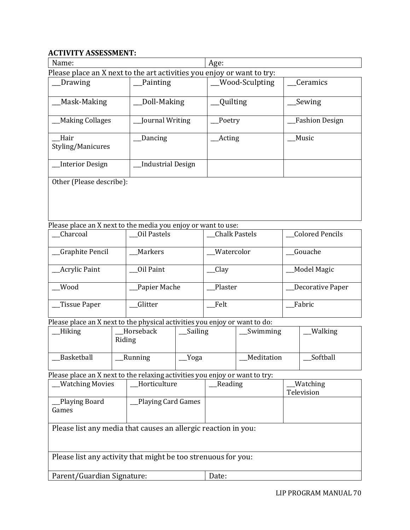# **ACTIVITY ASSESSMENT:**

| Name:                                                                  |                          | Age:                  |                       |  |
|------------------------------------------------------------------------|--------------------------|-----------------------|-----------------------|--|
| Please place an X next to the art activities you enjoy or want to try: |                          |                       |                       |  |
| Drawing                                                                | Painting                 | <b>Wood-Sculpting</b> | Ceramics              |  |
| Mask-Making                                                            | Doll-Making              | Quilting              | Sewing                |  |
| <b>Making Collages</b>                                                 | Journal Writing          | Poetry                | <b>Fashion Design</b> |  |
| Hair<br>Styling/Manicures                                              | Dancing                  | <b>Acting</b>         | Music                 |  |
|                                                                        |                          |                       |                       |  |
| Interior Design                                                        | <b>Industrial Design</b> |                       |                       |  |
| Other (Please describe):                                               |                          |                       |                       |  |
|                                                                        |                          |                       |                       |  |
|                                                                        |                          |                       |                       |  |

Please place an X next to the media you enjoy or want to use:

| Charcoal               | Oil Pastels  | <b>Chalk Pastels</b> | Colored Pencils    |
|------------------------|--------------|----------------------|--------------------|
| <b>Graphite Pencil</b> | Markers      | Watercolor           | Gouache            |
| <b>Acrylic Paint</b>   | Oil Paint    | _Clay                | <b>Model Magic</b> |
| Wood                   | Papier Mache | Plaster              | Decorative Paper   |
| Tissue Paper           | Glitter      | Felt                 | Fabric             |

Please place an X next to the physical activities you enjoy or want to do:

| Hiking     | Horseback<br>Riding | Sailing | Swimming   | Walking  |
|------------|---------------------|---------|------------|----------|
| Basketball | Running             | Yoga    | Meditation | Softball |

Please place an X next to the relaxing activities you enjoy or want to try:

| <b>Watching Movies</b>                                         | Horticulture       | Reading | Watching   |  |
|----------------------------------------------------------------|--------------------|---------|------------|--|
|                                                                |                    |         | Television |  |
| Playing Board_                                                 | Playing Card Games |         |            |  |
| Games                                                          |                    |         |            |  |
|                                                                |                    |         |            |  |
| Please list any media that causes an allergic reaction in you: |                    |         |            |  |
| Please list any activity that might be too strenuous for you:  |                    |         |            |  |
| Parent/Guardian Signature:                                     |                    | Date:   |            |  |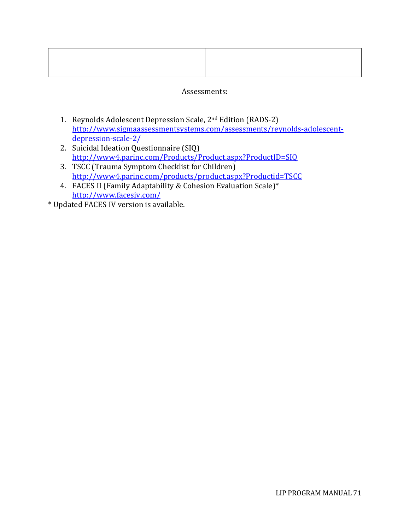## Assessments:

- 1. Reynolds Adolescent Depression Scale, 2nd Edition (RADS-2) [http://www.sigmaassessmentsystems.com/assessments/reynolds-adolescent](http://www.sigmaassessmentsystems.com/assessments/reynolds-adolescent-depression-scale-2/)[depression-scale-2/](http://www.sigmaassessmentsystems.com/assessments/reynolds-adolescent-depression-scale-2/)
- 2. Suicidal Ideation Questionnaire (SIQ) <http://www4.parinc.com/Products/Product.aspx?ProductID=SIQ>
- 3. TSCC (Trauma Symptom Checklist for Children) <http://www4.parinc.com/products/product.aspx?Productid=TSCC>
- 4. FACES II (Family Adaptability & Cohesion Evaluation Scale)\* <http://www.facesiv.com/>
- \* Updated FACES IV version is available.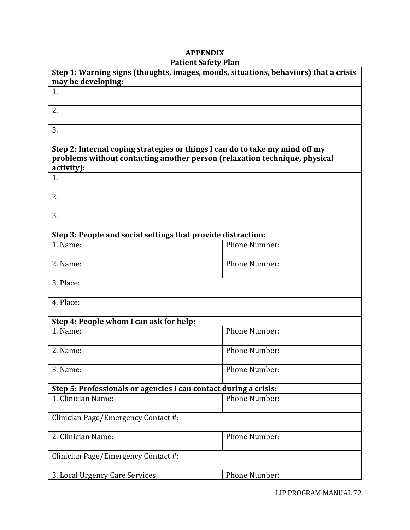## **APPENDIX Patient Safety Plan**

| Step 1: Warning signs (thoughts, images, moods, situations, behaviors) that a crisis                                                                                     |                      |  |
|--------------------------------------------------------------------------------------------------------------------------------------------------------------------------|----------------------|--|
| may be developing:<br>1.                                                                                                                                                 |                      |  |
|                                                                                                                                                                          |                      |  |
| 2.                                                                                                                                                                       |                      |  |
| 3.                                                                                                                                                                       |                      |  |
| Step 2: Internal coping strategies or things I can do to take my mind off my<br>problems without contacting another person (relaxation technique, physical<br>activity): |                      |  |
| 1.                                                                                                                                                                       |                      |  |
| 2.                                                                                                                                                                       |                      |  |
| 3.                                                                                                                                                                       |                      |  |
| Step 3: People and social settings that provide distraction:                                                                                                             |                      |  |
| 1. Name:                                                                                                                                                                 | <b>Phone Number:</b> |  |
| 2. Name:                                                                                                                                                                 | <b>Phone Number:</b> |  |
| 3. Place:                                                                                                                                                                |                      |  |
| 4. Place:                                                                                                                                                                |                      |  |
| Step 4: People whom I can ask for help:                                                                                                                                  |                      |  |
| 1. Name:                                                                                                                                                                 | <b>Phone Number:</b> |  |
| 2. Name:                                                                                                                                                                 | <b>Phone Number:</b> |  |
| 3. Name:                                                                                                                                                                 | Phone Number:        |  |
| Step 5: Professionals or agencies I can contact during a crisis:                                                                                                         |                      |  |
| 1. Clinician Name:                                                                                                                                                       | <b>Phone Number:</b> |  |
| Clinician Page/Emergency Contact #:                                                                                                                                      |                      |  |
| 2. Clinician Name:                                                                                                                                                       | Phone Number:        |  |
| Clinician Page/Emergency Contact #:                                                                                                                                      |                      |  |
| 3. Local Urgency Care Services:                                                                                                                                          | Phone Number:        |  |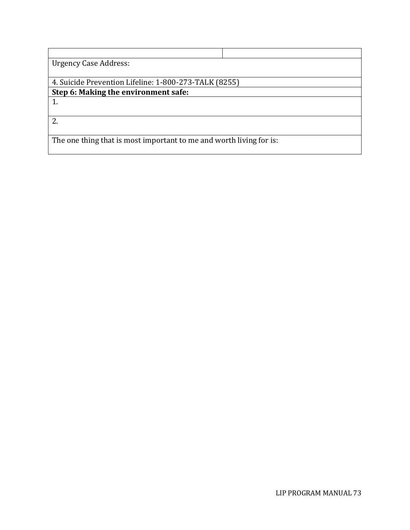| <b>Urgency Case Address:</b>                                        |
|---------------------------------------------------------------------|
|                                                                     |
| 4. Suicide Prevention Lifeline: 1-800-273-TALK (8255)               |
| Step 6: Making the environment safe:                                |
|                                                                     |
|                                                                     |
| 2.                                                                  |
|                                                                     |
| The one thing that is most important to me and worth living for is: |
|                                                                     |
|                                                                     |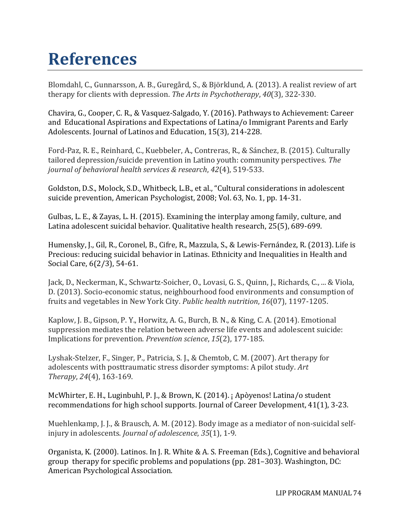## **References**

Blomdahl, C., Gunnarsson, A. B., Guregård, S., & Björklund, A. (2013). A realist review of art therapy for clients with depression. *The Arts in Psychotherapy*, *40*(3), 322-330.

Chavira, G., Cooper, C. R., & Vasquez-Salgado, Y. (2016). Pathways to Achievement: Career and Educational Aspirations and Expectations of Latina/o Immigrant Parents and Early Adolescents. Journal of Latinos and Education, 15(3), 214-228.

Ford-Paz, R. E., Reinhard, C., Kuebbeler, A., Contreras, R., & Sánchez, B. (2015). Culturally tailored depression/suicide prevention in Latino youth: community perspectives. *The journal of behavioral health services & research*, *42*(4), 519-533.

Goldston, D.S., Molock, S.D., Whitbeck, L.B., et al., "Cultural considerations in adolescent suicide prevention, American Psychologist, 2008; Vol. 63, No. 1, pp. 14-31.

Gulbas, L. E., & Zayas, L. H. (2015). Examining the interplay among family, culture, and Latina adolescent suicidal behavior. Qualitative health research, 25(5), 689-699.

Humensky, J., Gil, R., Coronel, B., Cifre, R., Mazzula, S., & Lewis-Fernández, R. (2013). Life is Precious: reducing suicidal behavior in Latinas. Ethnicity and Inequalities in Health and Social Care, 6(2/3), 54-61.

Jack, D., Neckerman, K., Schwartz-Soicher, O., Lovasi, G. S., Quinn, J., Richards, C., ... & Viola, D. (2013). Socio-economic status, neighbourhood food environments and consumption of fruits and vegetables in New York City. *Public health nutrition*, *16*(07), 1197-1205.

Kaplow, J. B., Gipson, P. Y., Horwitz, A. G., Burch, B. N., & King, C. A. (2014). Emotional suppression mediates the relation between adverse life events and adolescent suicide: Implications for prevention. *Prevention science*, *15*(2), 177-185.

Lyshak-Stelzer, F., Singer, P., Patricia, S. J., & Chemtob, C. M. (2007). Art therapy for adolescents with posttraumatic stress disorder symptoms: A pilot study. *Art Therapy*, *24*(4), 163-169.

McWhirter, E. H., Luginbuhl, P. J., & Brown, K. (2014). ¡ Apòyenos! Latina/o student recommendations for high school supports. Journal of Career Development, 41(1), 3-23.

Muehlenkamp, J. J., & Brausch, A. M. (2012). Body image as a mediator of non-suicidal selfinjury in adolescents. *Journal of adolescence*, *35*(1), 1-9.

Organista, K. (2000). Latinos. In J. R. White & A. S. Freeman (Eds.), Cognitive and behavioral group therapy for specific problems and populations (pp. 281–303). Washington, DC: American Psychological Association.